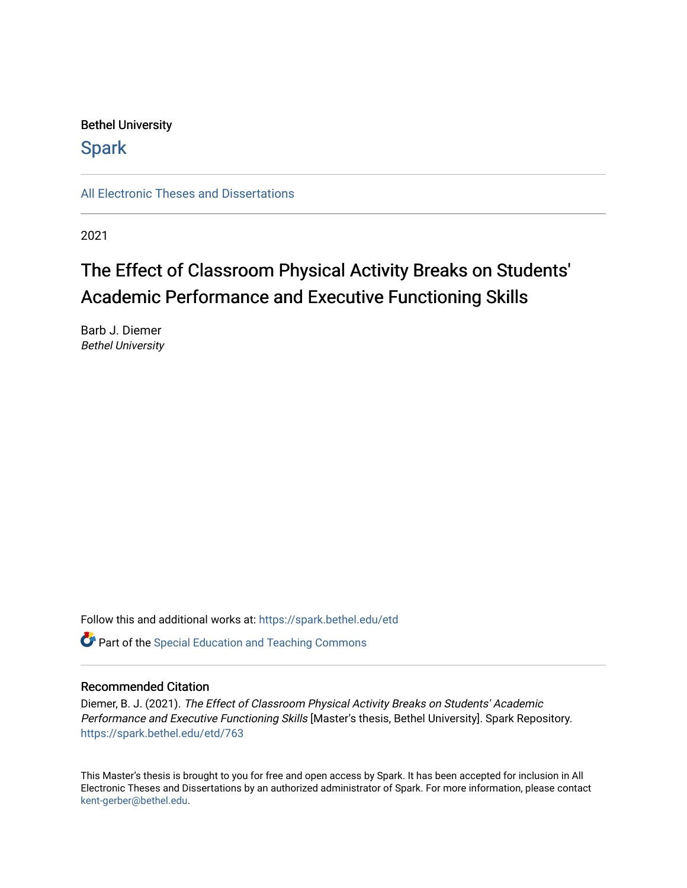### Bethel University

## **Spark**

[All Electronic Theses and Dissertations](https://spark.bethel.edu/etd) 

2021

# The Effect of Classroom Physical Activity Breaks on Students' Academic Performance and Executive Functioning Skills

Barb J. Diemer Bethel University

Follow this and additional works at: [https://spark.bethel.edu/etd](https://spark.bethel.edu/etd?utm_source=spark.bethel.edu%2Fetd%2F763&utm_medium=PDF&utm_campaign=PDFCoverPages)

**C** Part of the Special Education and Teaching Commons

#### Recommended Citation

Diemer, B. J. (2021). The Effect of Classroom Physical Activity Breaks on Students' Academic Performance and Executive Functioning Skills [Master's thesis, Bethel University]. Spark Repository. [https://spark.bethel.edu/etd/763](https://spark.bethel.edu/etd/763?utm_source=spark.bethel.edu%2Fetd%2F763&utm_medium=PDF&utm_campaign=PDFCoverPages)

This Master's thesis is brought to you for free and open access by Spark. It has been accepted for inclusion in All Electronic Theses and Dissertations by an authorized administrator of Spark. For more information, please contact [kent-gerber@bethel.edu](mailto:kent-gerber@bethel.edu).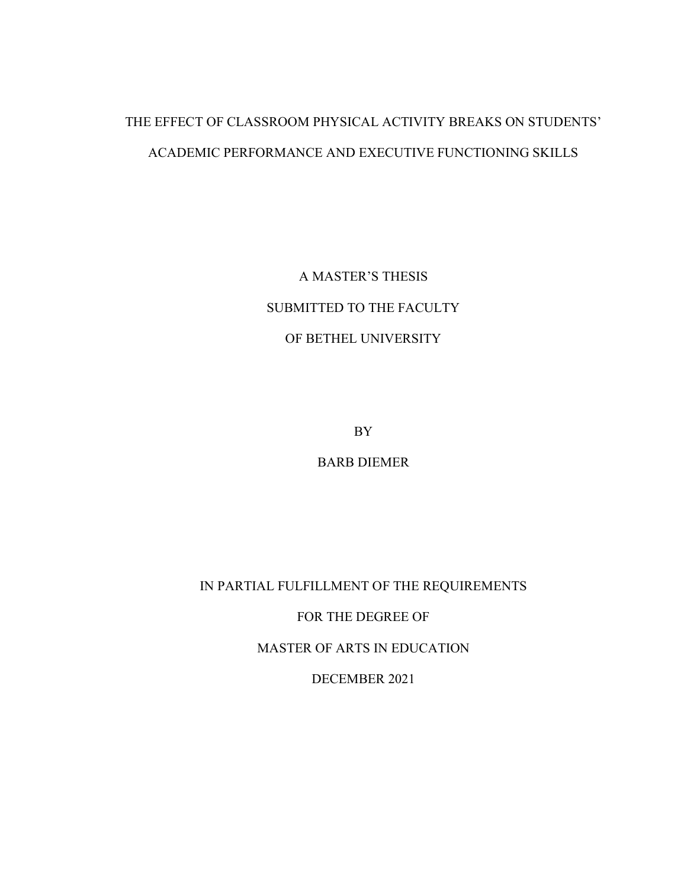## THE EFFECT OF CLASSROOM PHYSICAL ACTIVITY BREAKS ON STUDENTS' ACADEMIC PERFORMANCE AND EXECUTIVE FUNCTIONING SKILLS

A MASTER'S THESIS SUBMITTED TO THE FACULTY OF BETHEL UNIVERSITY

BY

BARB DIEMER

IN PARTIAL FULFILLMENT OF THE REQUIREMENTS

FOR THE DEGREE OF

MASTER OF ARTS IN EDUCATION

DECEMBER 2021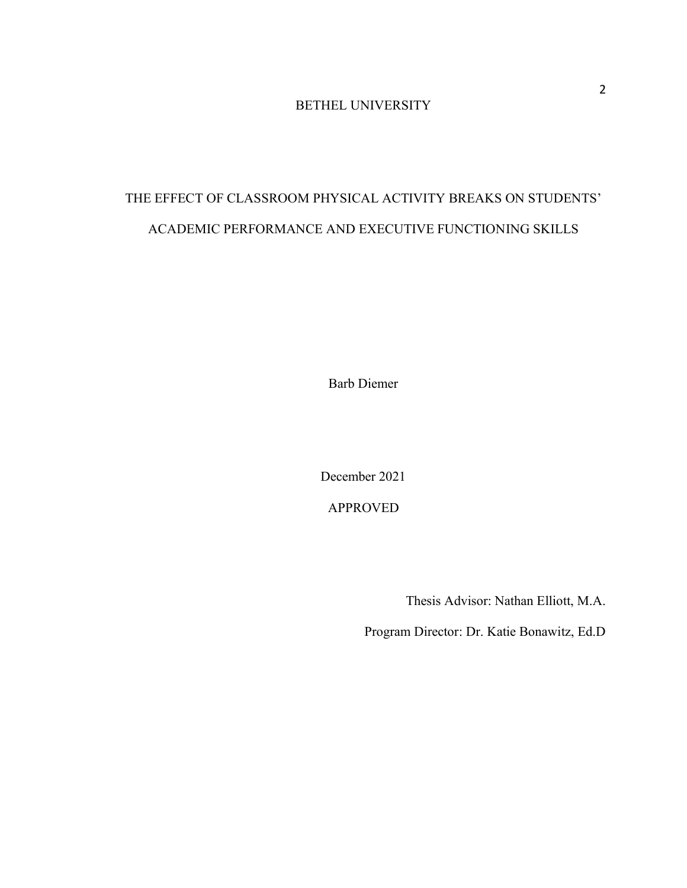### BETHEL UNIVERSITY

## THE EFFECT OF CLASSROOM PHYSICAL ACTIVITY BREAKS ON STUDENTS' ACADEMIC PERFORMANCE AND EXECUTIVE FUNCTIONING SKILLS

Barb Diemer

December 2021

APPROVED

Thesis Advisor: Nathan Elliott, M.A.

Program Director: Dr. Katie Bonawitz, Ed.D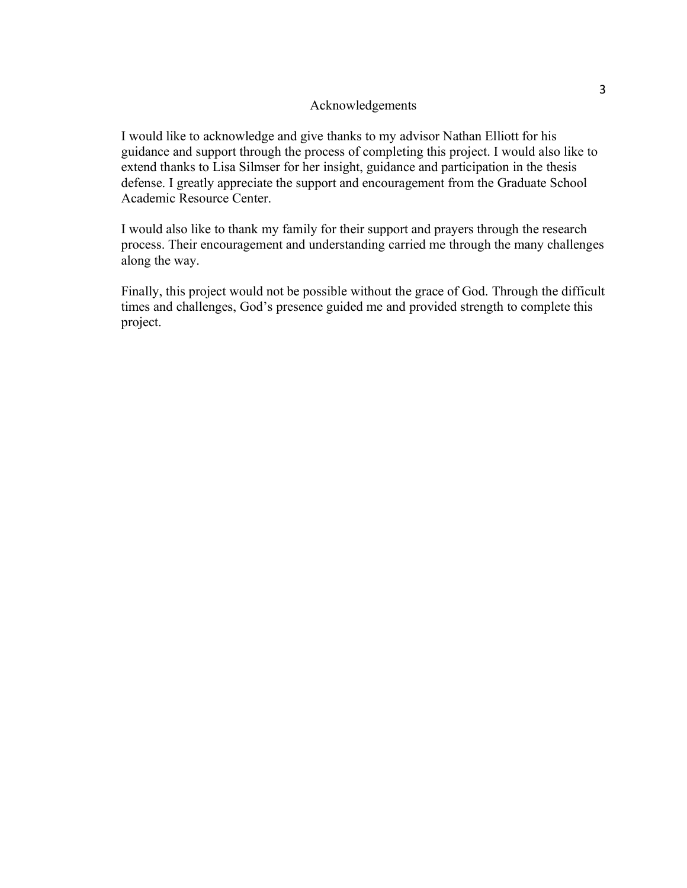#### Acknowledgements

I would like to acknowledge and give thanks to my advisor Nathan Elliott for his guidance and support through the process of completing this project. I would also like to extend thanks to Lisa Silmser for her insight, guidance and participation in the thesis defense. I greatly appreciate the support and encouragement from the Graduate School Academic Resource Center.

I would also like to thank my family for their support and prayers through the research process. Their encouragement and understanding carried me through the many challenges along the way.

Finally, this project would not be possible without the grace of God. Through the difficult times and challenges, God's presence guided me and provided strength to complete this project.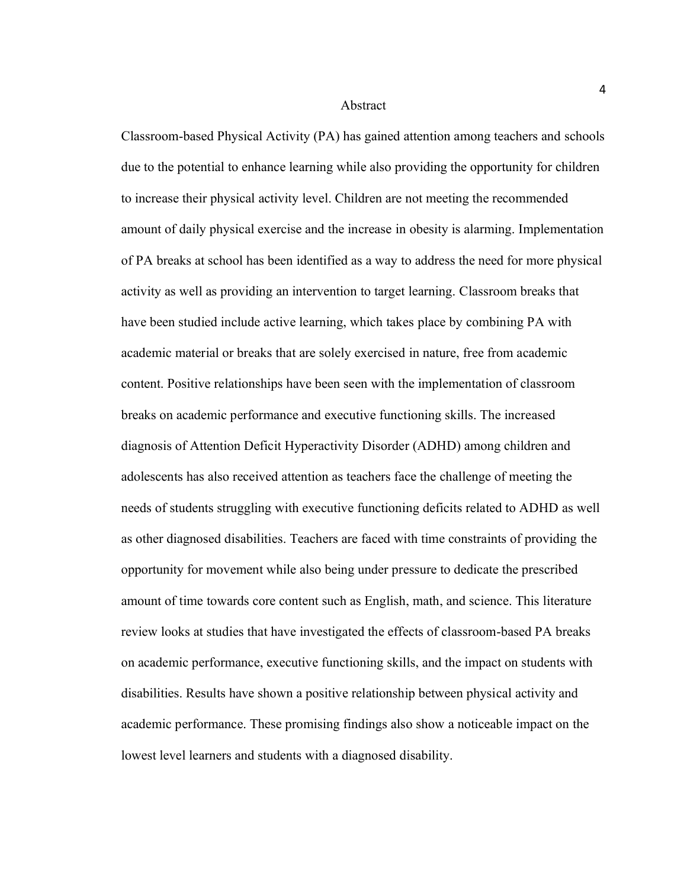Abstract

Classroom-based Physical Activity (PA) has gained attention among teachers and schools due to the potential to enhance learning while also providing the opportunity for children to increase their physical activity level. Children are not meeting the recommended amount of daily physical exercise and the increase in obesity is alarming. Implementation of PA breaks at school has been identified as a way to address the need for more physical activity as well as providing an intervention to target learning. Classroom breaks that have been studied include active learning, which takes place by combining PA with academic material or breaks that are solely exercised in nature, free from academic content. Positive relationships have been seen with the implementation of classroom breaks on academic performance and executive functioning skills. The increased diagnosis of Attention Deficit Hyperactivity Disorder (ADHD) among children and adolescents has also received attention as teachers face the challenge of meeting the needs of students struggling with executive functioning deficits related to ADHD as well as other diagnosed disabilities. Teachers are faced with time constraints of providing the opportunity for movement while also being under pressure to dedicate the prescribed amount of time towards core content such as English, math, and science. This literature review looks at studies that have investigated the effects of classroom-based PA breaks on academic performance, executive functioning skills, and the impact on students with disabilities. Results have shown a positive relationship between physical activity and academic performance. These promising findings also show a noticeable impact on the lowest level learners and students with a diagnosed disability.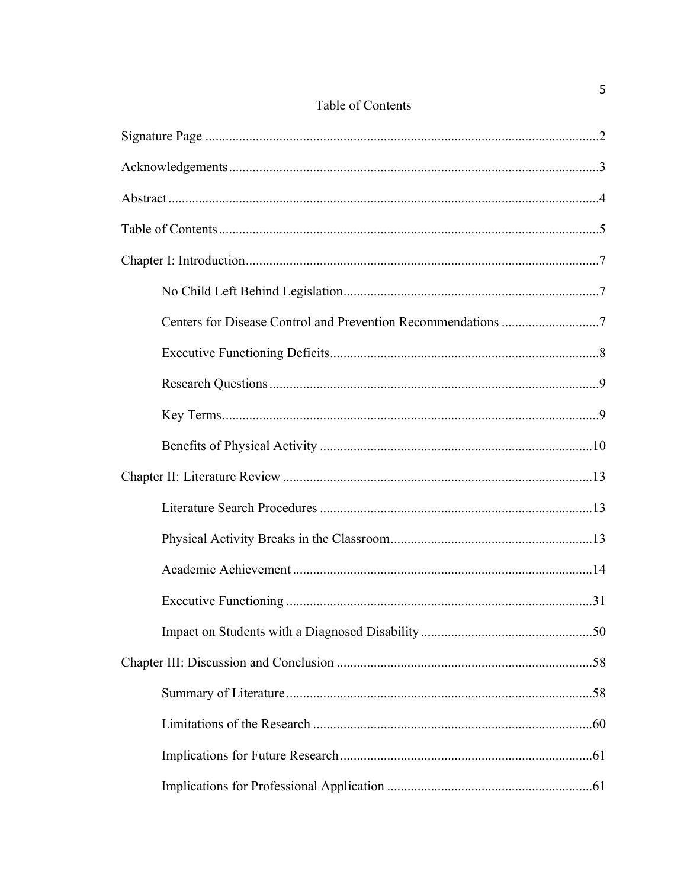### Table of Contents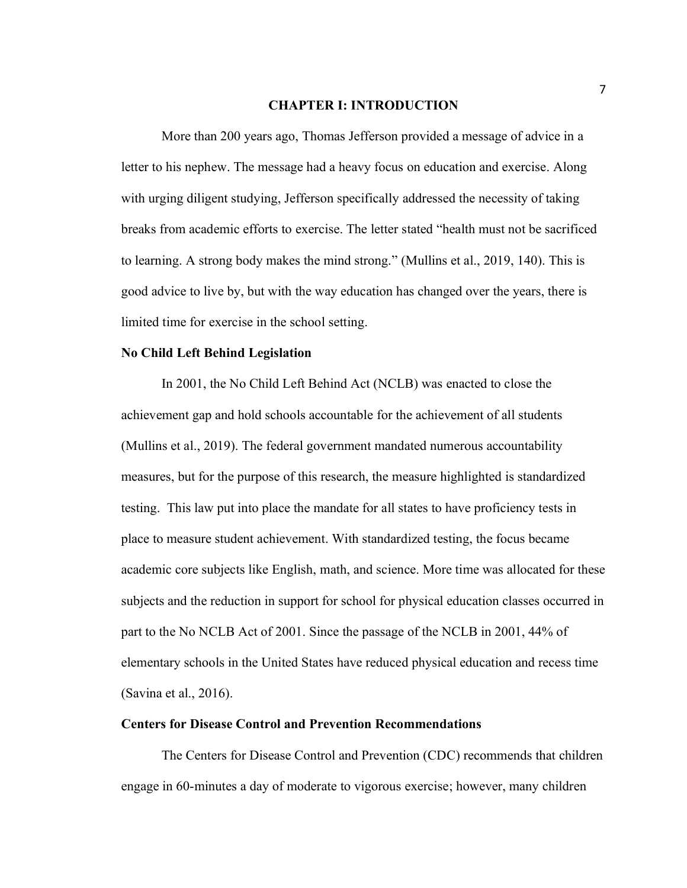#### **CHAPTER I: INTRODUCTION**

More than 200 years ago, Thomas Jefferson provided a message of advice in a letter to his nephew. The message had a heavy focus on education and exercise. Along with urging diligent studying, Jefferson specifically addressed the necessity of taking breaks from academic efforts to exercise. The letter stated "health must not be sacrificed to learning. A strong body makes the mind strong." (Mullins et al., 2019, 140). This is good advice to live by, but with the way education has changed over the years, there is limited time for exercise in the school setting.

#### **No Child Left Behind Legislation**

In 2001, the No Child Left Behind Act (NCLB) was enacted to close the achievement gap and hold schools accountable for the achievement of all students (Mullins et al., 2019). The federal government mandated numerous accountability measures, but for the purpose of this research, the measure highlighted is standardized testing. This law put into place the mandate for all states to have proficiency tests in place to measure student achievement. With standardized testing, the focus became academic core subjects like English, math, and science. More time was allocated for these subjects and the reduction in support for school for physical education classes occurred in part to the No NCLB Act of 2001. Since the passage of the NCLB in 2001, 44% of elementary schools in the United States have reduced physical education and recess time (Savina et al., 2016).

#### **Centers for Disease Control and Prevention Recommendations**

The Centers for Disease Control and Prevention (CDC) recommends that children engage in 60-minutes a day of moderate to vigorous exercise; however, many children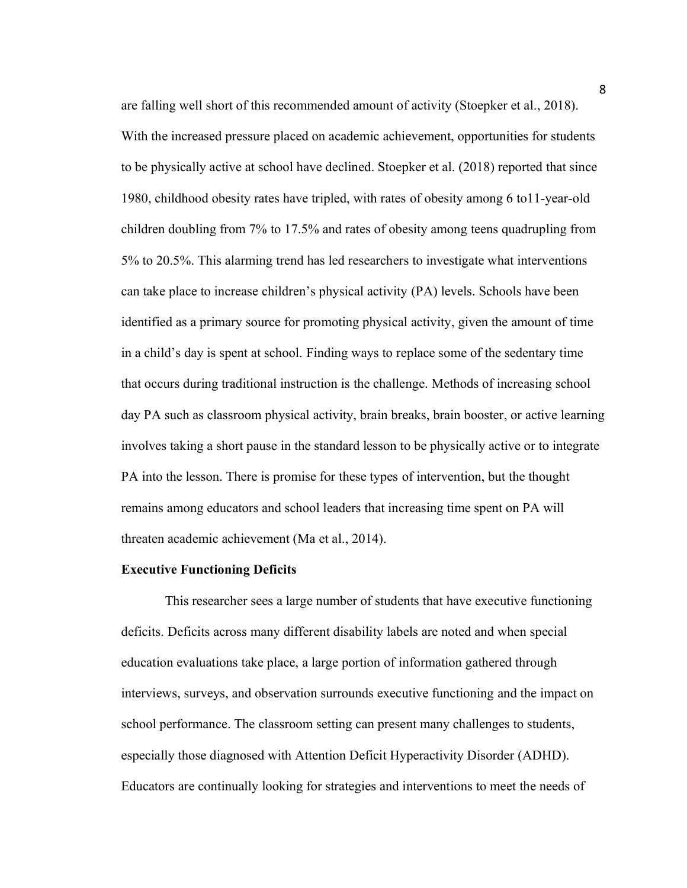are falling well short of this recommended amount of activity (Stoepker et al., 2018). With the increased pressure placed on academic achievement, opportunities for students to be physically active at school have declined. Stoepker et al. (2018) reported that since 1980, childhood obesity rates have tripled, with rates of obesity among 6 to11-year-old children doubling from 7% to 17.5% and rates of obesity among teens quadrupling from 5% to 20.5%. This alarming trend has led researchers to investigate what interventions can take place to increase children's physical activity (PA) levels. Schools have been identified as a primary source for promoting physical activity, given the amount of time in a child's day is spent at school. Finding ways to replace some of the sedentary time that occurs during traditional instruction is the challenge. Methods of increasing school day PA such as classroom physical activity, brain breaks, brain booster, or active learning involves taking a short pause in the standard lesson to be physically active or to integrate PA into the lesson. There is promise for these types of intervention, but the thought remains among educators and school leaders that increasing time spent on PA will threaten academic achievement (Ma et al., 2014).

#### **Executive Functioning Deficits**

This researcher sees a large number of students that have executive functioning deficits. Deficits across many different disability labels are noted and when special education evaluations take place, a large portion of information gathered through interviews, surveys, and observation surrounds executive functioning and the impact on school performance. The classroom setting can present many challenges to students, especially those diagnosed with Attention Deficit Hyperactivity Disorder (ADHD). Educators are continually looking for strategies and interventions to meet the needs of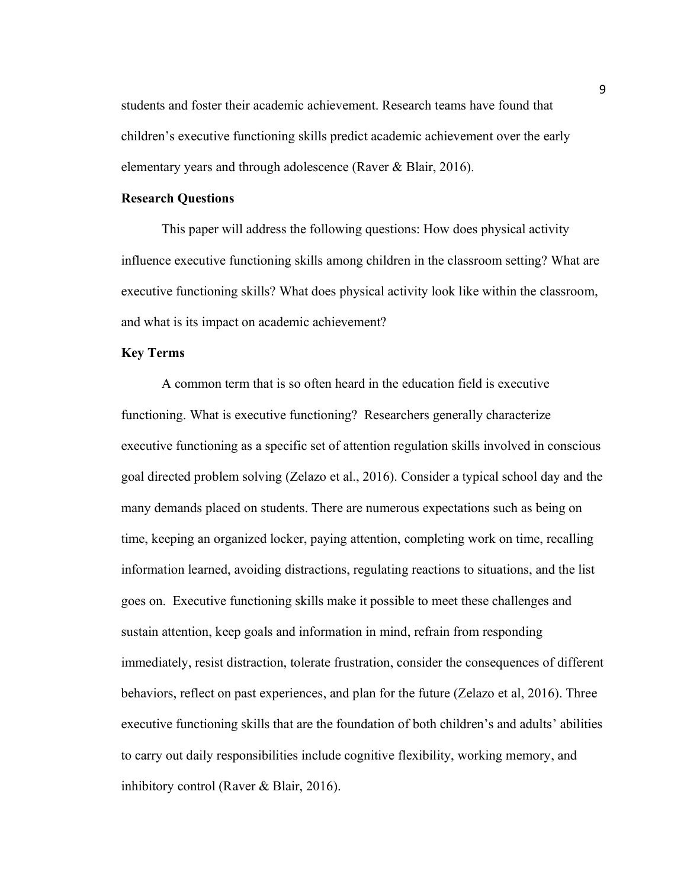students and foster their academic achievement. Research teams have found that children's executive functioning skills predict academic achievement over the early elementary years and through adolescence (Raver & Blair, 2016).

#### **Research Questions**

This paper will address the following questions: How does physical activity influence executive functioning skills among children in the classroom setting? What are executive functioning skills? What does physical activity look like within the classroom, and what is its impact on academic achievement?

#### **Key Terms**

A common term that is so often heard in the education field is executive functioning. What is executive functioning? Researchers generally characterize executive functioning as a specific set of attention regulation skills involved in conscious goal directed problem solving (Zelazo et al., 2016). Consider a typical school day and the many demands placed on students. There are numerous expectations such as being on time, keeping an organized locker, paying attention, completing work on time, recalling information learned, avoiding distractions, regulating reactions to situations, and the list goes on. Executive functioning skills make it possible to meet these challenges and sustain attention, keep goals and information in mind, refrain from responding immediately, resist distraction, tolerate frustration, consider the consequences of different behaviors, reflect on past experiences, and plan for the future (Zelazo et al, 2016). Three executive functioning skills that are the foundation of both children's and adults' abilities to carry out daily responsibilities include cognitive flexibility, working memory, and inhibitory control (Raver & Blair, 2016).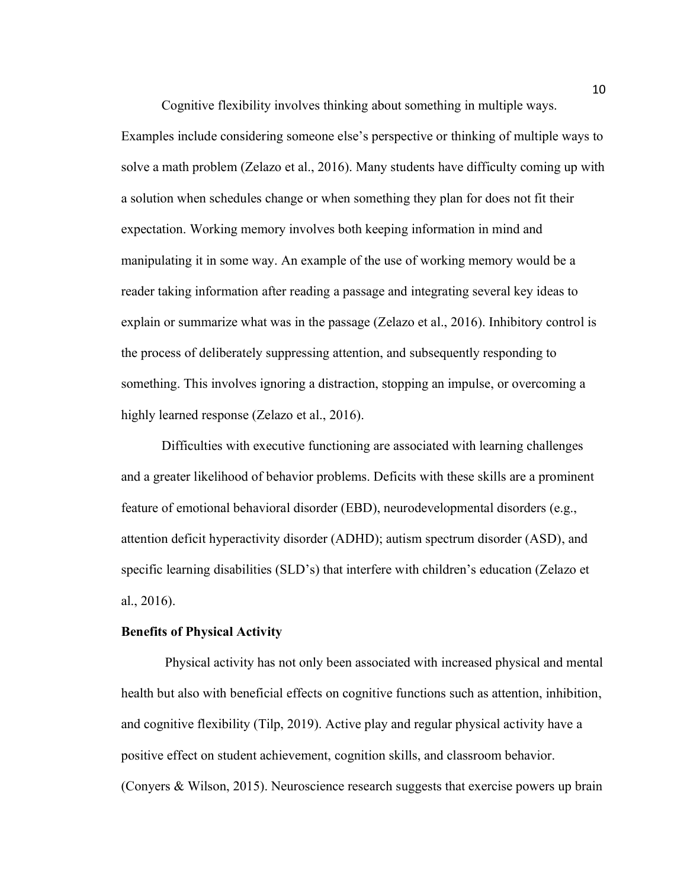Cognitive flexibility involves thinking about something in multiple ways. Examples include considering someone else's perspective or thinking of multiple ways to solve a math problem (Zelazo et al., 2016). Many students have difficulty coming up with

a solution when schedules change or when something they plan for does not fit their expectation. Working memory involves both keeping information in mind and manipulating it in some way. An example of the use of working memory would be a reader taking information after reading a passage and integrating several key ideas to explain or summarize what was in the passage (Zelazo et al., 2016). Inhibitory control is the process of deliberately suppressing attention, and subsequently responding to something. This involves ignoring a distraction, stopping an impulse, or overcoming a highly learned response (Zelazo et al., 2016).

Difficulties with executive functioning are associated with learning challenges and a greater likelihood of behavior problems. Deficits with these skills are a prominent feature of emotional behavioral disorder (EBD), neurodevelopmental disorders (e.g., attention deficit hyperactivity disorder (ADHD); autism spectrum disorder (ASD), and specific learning disabilities (SLD's) that interfere with children's education (Zelazo et al., 2016).

#### **Benefits of Physical Activity**

Physical activity has not only been associated with increased physical and mental health but also with beneficial effects on cognitive functions such as attention, inhibition, and cognitive flexibility (Tilp, 2019). Active play and regular physical activity have a positive effect on student achievement, cognition skills, and classroom behavior. (Conyers & Wilson, 2015). Neuroscience research suggests that exercise powers up brain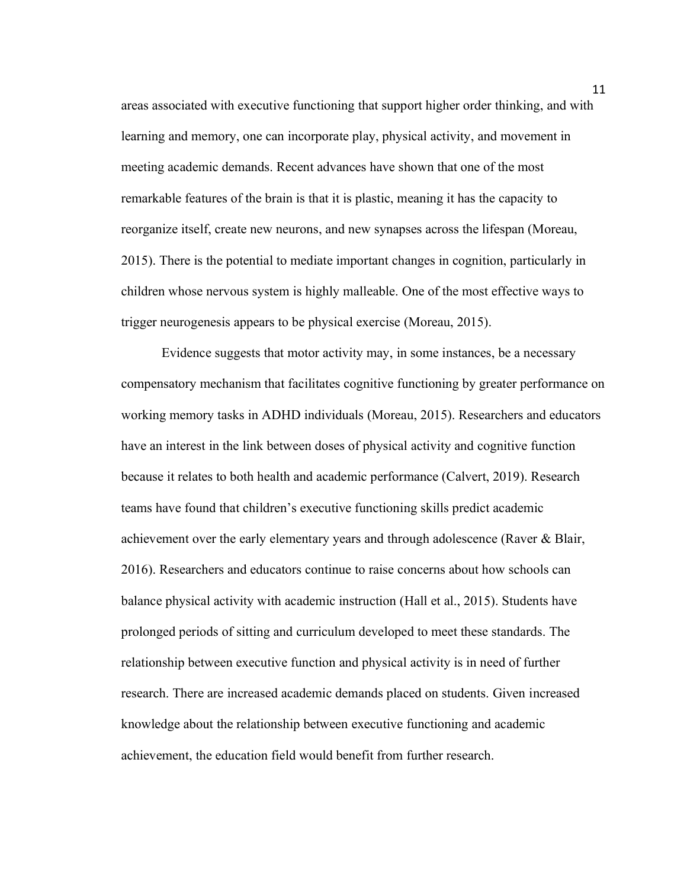areas associated with executive functioning that support higher order thinking, and with learning and memory, one can incorporate play, physical activity, and movement in meeting academic demands. Recent advances have shown that one of the most remarkable features of the brain is that it is plastic, meaning it has the capacity to reorganize itself, create new neurons, and new synapses across the lifespan (Moreau, 2015). There is the potential to mediate important changes in cognition, particularly in children whose nervous system is highly malleable. One of the most effective ways to trigger neurogenesis appears to be physical exercise (Moreau, 2015).

Evidence suggests that motor activity may, in some instances, be a necessary compensatory mechanism that facilitates cognitive functioning by greater performance on working memory tasks in ADHD individuals (Moreau, 2015). Researchers and educators have an interest in the link between doses of physical activity and cognitive function because it relates to both health and academic performance (Calvert, 2019). Research teams have found that children's executive functioning skills predict academic achievement over the early elementary years and through adolescence (Raver & Blair, 2016). Researchers and educators continue to raise concerns about how schools can balance physical activity with academic instruction (Hall et al., 2015). Students have prolonged periods of sitting and curriculum developed to meet these standards. The relationship between executive function and physical activity is in need of further research. There are increased academic demands placed on students. Given increased knowledge about the relationship between executive functioning and academic achievement, the education field would benefit from further research.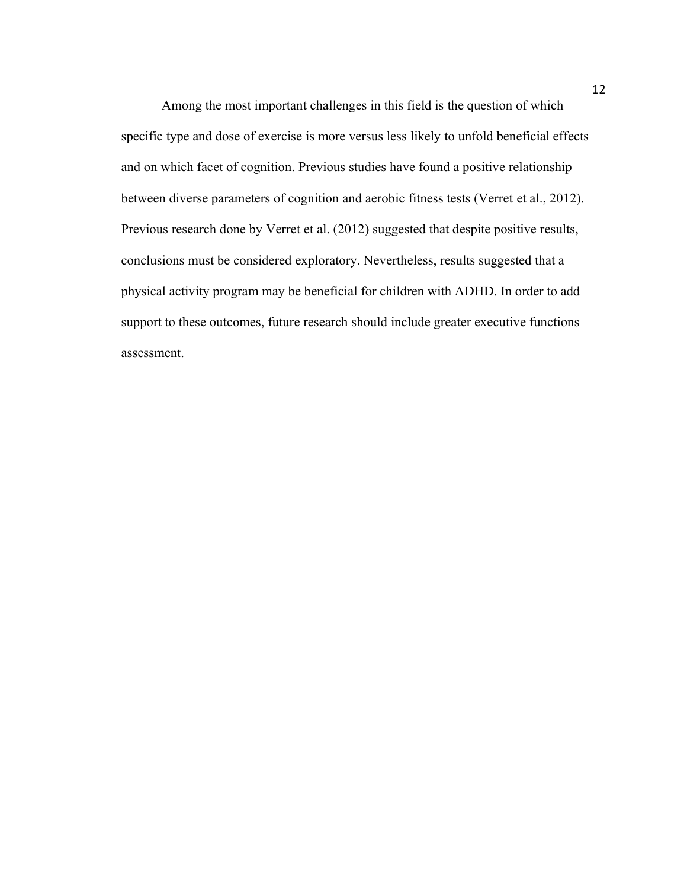Among the most important challenges in this field is the question of which specific type and dose of exercise is more versus less likely to unfold beneficial effects and on which facet of cognition. Previous studies have found a positive relationship between diverse parameters of cognition and aerobic fitness tests (Verret et al., 2012). Previous research done by Verret et al. (2012) suggested that despite positive results, conclusions must be considered exploratory. Nevertheless, results suggested that a physical activity program may be beneficial for children with ADHD. In order to add support to these outcomes, future research should include greater executive functions assessment.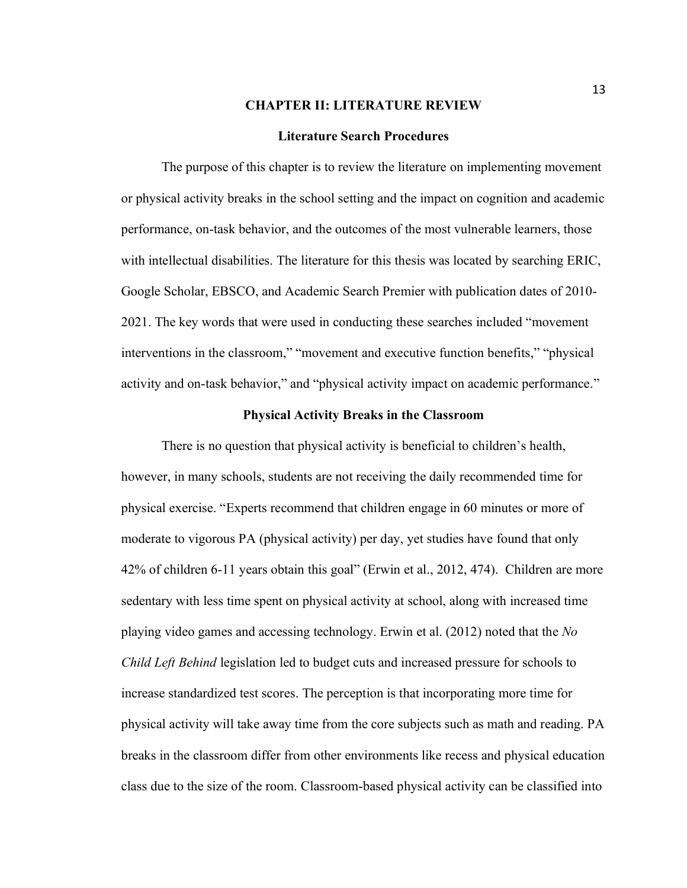#### **CHAPTER II: LITERATURE REVIEW**

#### **Literature Search Procedures**

The purpose of this chapter is to review the literature on implementing movement or physical activity breaks in the school setting and the impact on cognition and academic performance, on-task behavior, and the outcomes of the most vulnerable learners, those with intellectual disabilities. The literature for this thesis was located by searching ERIC, Google Scholar, EBSCO, and Academic Search Premier with publication dates of 2010- 2021. The key words that were used in conducting these searches included "movement interventions in the classroom," "movement and executive function benefits," "physical activity and on-task behavior," and "physical activity impact on academic performance."

#### **Physical Activity Breaks in the Classroom**

There is no question that physical activity is beneficial to children's health, however, in many schools, students are not receiving the daily recommended time for physical exercise. "Experts recommend that children engage in 60 minutes or more of moderate to vigorous PA (physical activity) per day, yet studies have found that only 42% of children 6-11 years obtain this goal" (Erwin et al., 2012, 474). Children are more sedentary with less time spent on physical activity at school, along with increased time playing video games and accessing technology. Erwin et al. (2012) noted that the *No Child Left Behind* legislation led to budget cuts and increased pressure for schools to increase standardized test scores. The perception is that incorporating more time for physical activity will take away time from the core subjects such as math and reading. PA breaks in the classroom differ from other environments like recess and physical education class due to the size of the room. Classroom-based physical activity can be classified into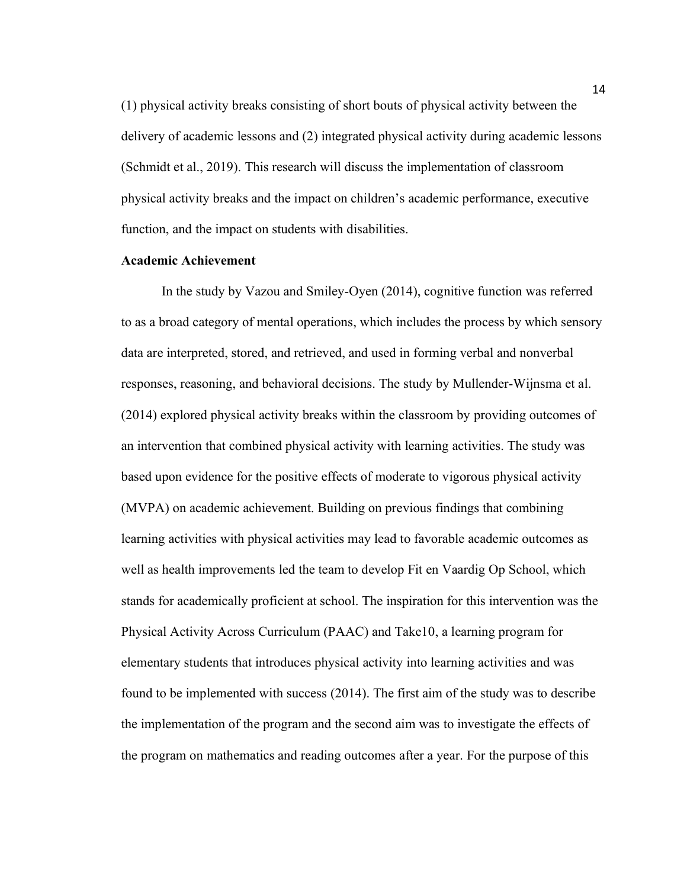(1) physical activity breaks consisting of short bouts of physical activity between the delivery of academic lessons and (2) integrated physical activity during academic lessons (Schmidt et al., 2019). This research will discuss the implementation of classroom physical activity breaks and the impact on children's academic performance, executive function, and the impact on students with disabilities.

#### **Academic Achievement**

In the study by Vazou and Smiley-Oyen (2014), cognitive function was referred to as a broad category of mental operations, which includes the process by which sensory data are interpreted, stored, and retrieved, and used in forming verbal and nonverbal responses, reasoning, and behavioral decisions. The study by Mullender-Wijnsma et al. (2014) explored physical activity breaks within the classroom by providing outcomes of an intervention that combined physical activity with learning activities. The study was based upon evidence for the positive effects of moderate to vigorous physical activity (MVPA) on academic achievement. Building on previous findings that combining learning activities with physical activities may lead to favorable academic outcomes as well as health improvements led the team to develop Fit en Vaardig Op School, which stands for academically proficient at school. The inspiration for this intervention was the Physical Activity Across Curriculum (PAAC) and Take10, a learning program for elementary students that introduces physical activity into learning activities and was found to be implemented with success (2014). The first aim of the study was to describe the implementation of the program and the second aim was to investigate the effects of the program on mathematics and reading outcomes after a year. For the purpose of this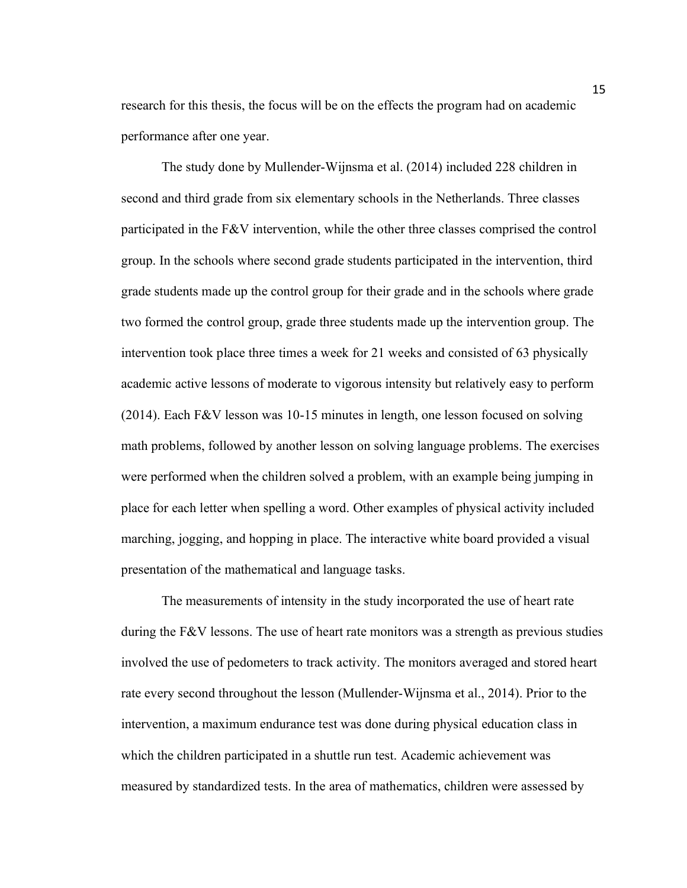research for this thesis, the focus will be on the effects the program had on academic performance after one year.

The study done by Mullender-Wijnsma et al. (2014) included 228 children in second and third grade from six elementary schools in the Netherlands. Three classes participated in the F&V intervention, while the other three classes comprised the control group. In the schools where second grade students participated in the intervention, third grade students made up the control group for their grade and in the schools where grade two formed the control group, grade three students made up the intervention group. The intervention took place three times a week for 21 weeks and consisted of 63 physically academic active lessons of moderate to vigorous intensity but relatively easy to perform (2014). Each F&V lesson was 10-15 minutes in length, one lesson focused on solving math problems, followed by another lesson on solving language problems. The exercises were performed when the children solved a problem, with an example being jumping in place for each letter when spelling a word. Other examples of physical activity included marching, jogging, and hopping in place. The interactive white board provided a visual presentation of the mathematical and language tasks.

The measurements of intensity in the study incorporated the use of heart rate during the F&V lessons. The use of heart rate monitors was a strength as previous studies involved the use of pedometers to track activity. The monitors averaged and stored heart rate every second throughout the lesson (Mullender-Wijnsma et al., 2014). Prior to the intervention, a maximum endurance test was done during physical education class in which the children participated in a shuttle run test. Academic achievement was measured by standardized tests. In the area of mathematics, children were assessed by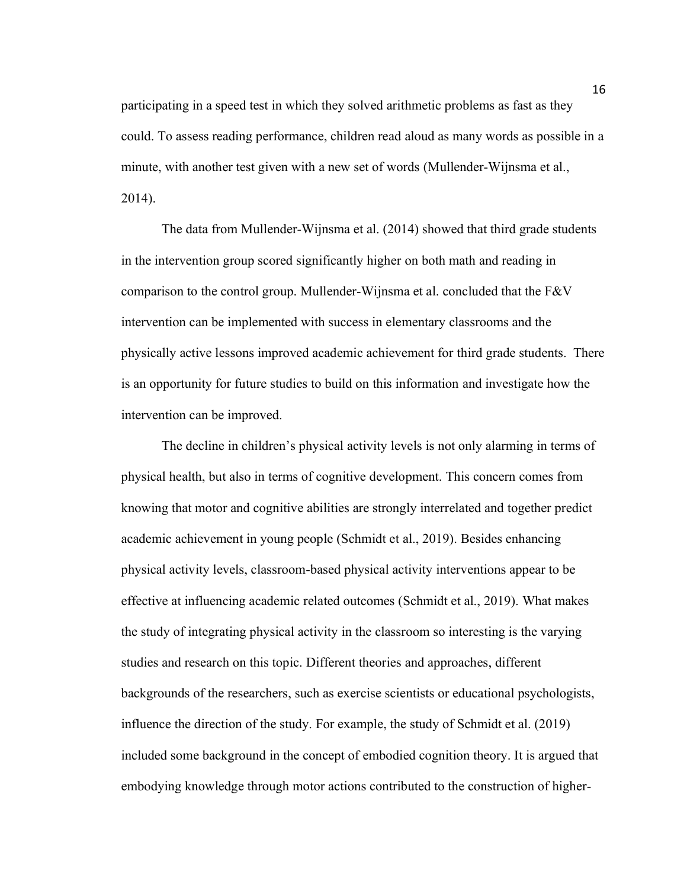participating in a speed test in which they solved arithmetic problems as fast as they could. To assess reading performance, children read aloud as many words as possible in a minute, with another test given with a new set of words (Mullender-Wijnsma et al., 2014).

The data from Mullender-Wijnsma et al. (2014) showed that third grade students in the intervention group scored significantly higher on both math and reading in comparison to the control group. Mullender-Wijnsma et al. concluded that the F&V intervention can be implemented with success in elementary classrooms and the physically active lessons improved academic achievement for third grade students. There is an opportunity for future studies to build on this information and investigate how the intervention can be improved.

The decline in children's physical activity levels is not only alarming in terms of physical health, but also in terms of cognitive development. This concern comes from knowing that motor and cognitive abilities are strongly interrelated and together predict academic achievement in young people (Schmidt et al., 2019). Besides enhancing physical activity levels, classroom-based physical activity interventions appear to be effective at influencing academic related outcomes (Schmidt et al., 2019). What makes the study of integrating physical activity in the classroom so interesting is the varying studies and research on this topic. Different theories and approaches, different backgrounds of the researchers, such as exercise scientists or educational psychologists, influence the direction of the study. For example, the study of Schmidt et al. (2019) included some background in the concept of embodied cognition theory. It is argued that embodying knowledge through motor actions contributed to the construction of higher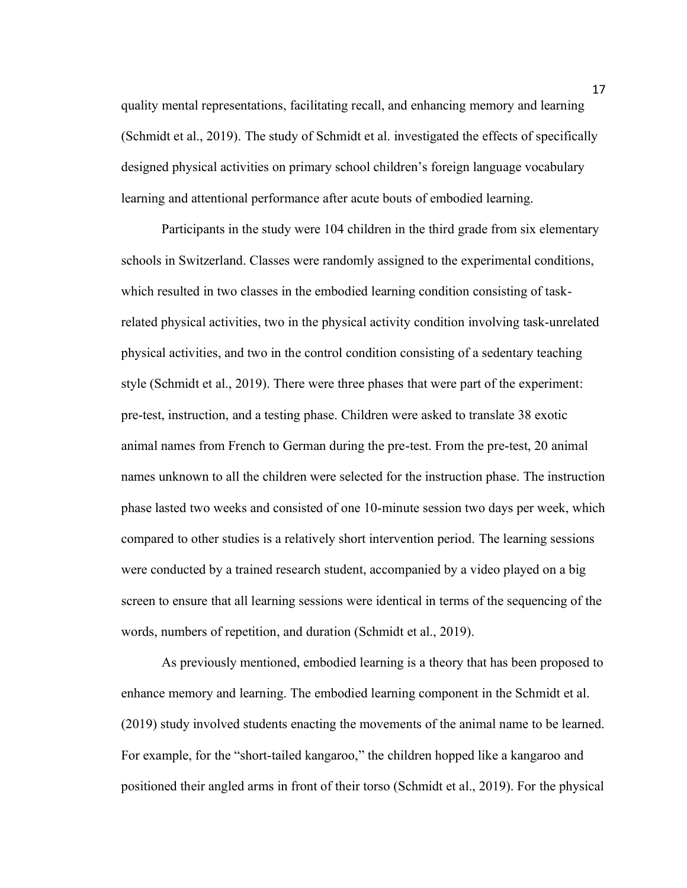quality mental representations, facilitating recall, and enhancing memory and learning (Schmidt et al., 2019). The study of Schmidt et al. investigated the effects of specifically designed physical activities on primary school children's foreign language vocabulary learning and attentional performance after acute bouts of embodied learning.

Participants in the study were 104 children in the third grade from six elementary schools in Switzerland. Classes were randomly assigned to the experimental conditions, which resulted in two classes in the embodied learning condition consisting of taskrelated physical activities, two in the physical activity condition involving task-unrelated physical activities, and two in the control condition consisting of a sedentary teaching style (Schmidt et al., 2019). There were three phases that were part of the experiment: pre-test, instruction, and a testing phase. Children were asked to translate 38 exotic animal names from French to German during the pre-test. From the pre-test, 20 animal names unknown to all the children were selected for the instruction phase. The instruction phase lasted two weeks and consisted of one 10-minute session two days per week, which compared to other studies is a relatively short intervention period. The learning sessions were conducted by a trained research student, accompanied by a video played on a big screen to ensure that all learning sessions were identical in terms of the sequencing of the words, numbers of repetition, and duration (Schmidt et al., 2019).

As previously mentioned, embodied learning is a theory that has been proposed to enhance memory and learning. The embodied learning component in the Schmidt et al. (2019) study involved students enacting the movements of the animal name to be learned. For example, for the "short-tailed kangaroo," the children hopped like a kangaroo and positioned their angled arms in front of their torso (Schmidt et al., 2019). For the physical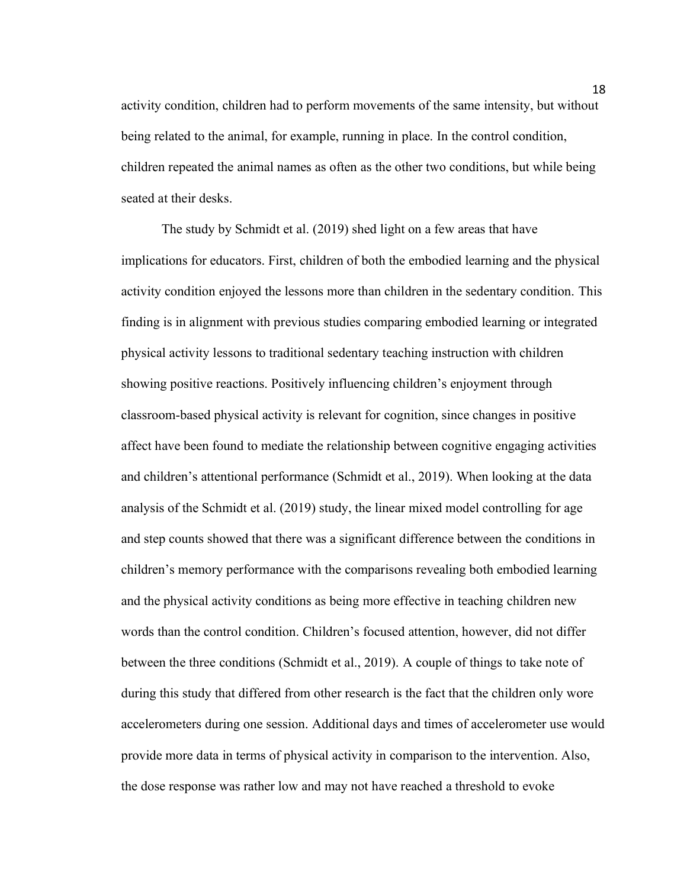activity condition, children had to perform movements of the same intensity, but without being related to the animal, for example, running in place. In the control condition, children repeated the animal names as often as the other two conditions, but while being seated at their desks.

The study by Schmidt et al. (2019) shed light on a few areas that have implications for educators. First, children of both the embodied learning and the physical activity condition enjoyed the lessons more than children in the sedentary condition. This finding is in alignment with previous studies comparing embodied learning or integrated physical activity lessons to traditional sedentary teaching instruction with children showing positive reactions. Positively influencing children's enjoyment through classroom-based physical activity is relevant for cognition, since changes in positive affect have been found to mediate the relationship between cognitive engaging activities and children's attentional performance (Schmidt et al., 2019). When looking at the data analysis of the Schmidt et al. (2019) study, the linear mixed model controlling for age and step counts showed that there was a significant difference between the conditions in children's memory performance with the comparisons revealing both embodied learning and the physical activity conditions as being more effective in teaching children new words than the control condition. Children's focused attention, however, did not differ between the three conditions (Schmidt et al., 2019). A couple of things to take note of during this study that differed from other research is the fact that the children only wore accelerometers during one session. Additional days and times of accelerometer use would provide more data in terms of physical activity in comparison to the intervention. Also, the dose response was rather low and may not have reached a threshold to evoke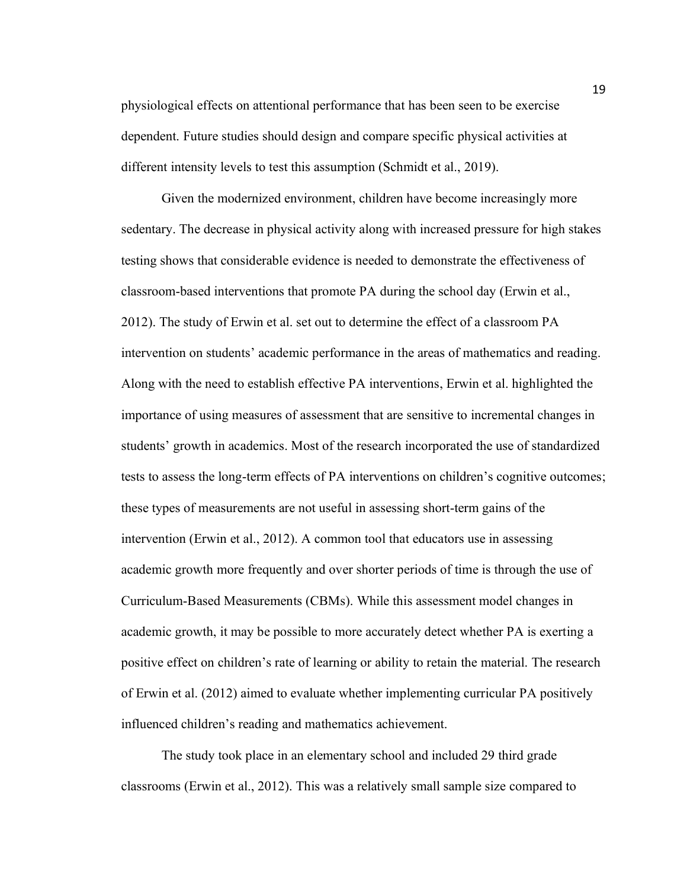physiological effects on attentional performance that has been seen to be exercise dependent. Future studies should design and compare specific physical activities at different intensity levels to test this assumption (Schmidt et al., 2019).

Given the modernized environment, children have become increasingly more sedentary. The decrease in physical activity along with increased pressure for high stakes testing shows that considerable evidence is needed to demonstrate the effectiveness of classroom-based interventions that promote PA during the school day (Erwin et al., 2012). The study of Erwin et al. set out to determine the effect of a classroom PA intervention on students' academic performance in the areas of mathematics and reading. Along with the need to establish effective PA interventions, Erwin et al. highlighted the importance of using measures of assessment that are sensitive to incremental changes in students' growth in academics. Most of the research incorporated the use of standardized tests to assess the long-term effects of PA interventions on children's cognitive outcomes; these types of measurements are not useful in assessing short-term gains of the intervention (Erwin et al., 2012). A common tool that educators use in assessing academic growth more frequently and over shorter periods of time is through the use of Curriculum-Based Measurements (CBMs). While this assessment model changes in academic growth, it may be possible to more accurately detect whether PA is exerting a positive effect on children's rate of learning or ability to retain the material. The research of Erwin et al. (2012) aimed to evaluate whether implementing curricular PA positively influenced children's reading and mathematics achievement.

The study took place in an elementary school and included 29 third grade classrooms (Erwin et al., 2012). This was a relatively small sample size compared to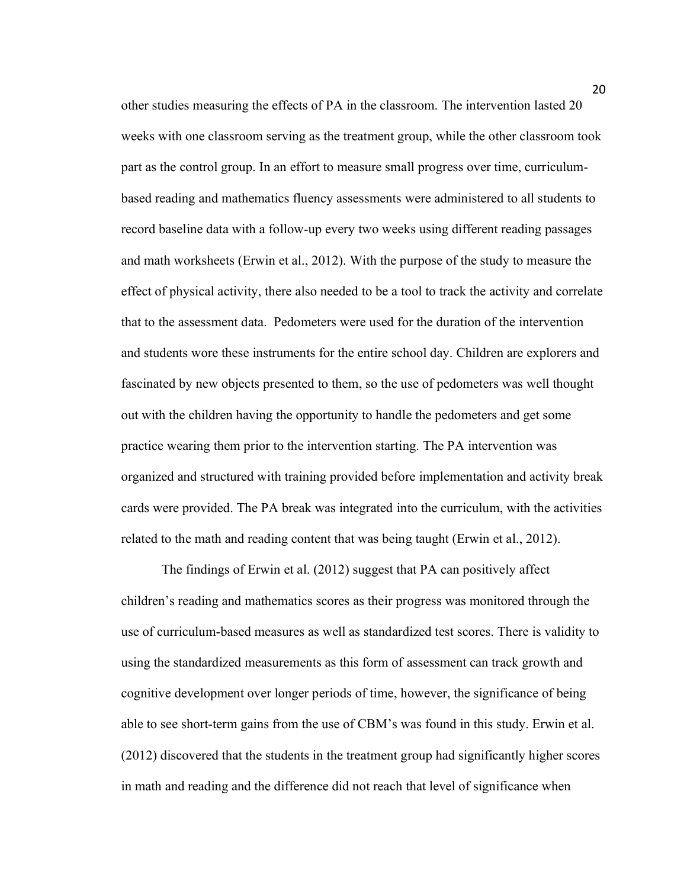other studies measuring the effects of PA in the classroom. The intervention lasted 20 weeks with one classroom serving as the treatment group, while the other classroom took part as the control group. In an effort to measure small progress over time, curriculumbased reading and mathematics fluency assessments were administered to all students to record baseline data with a follow-up every two weeks using different reading passages and math worksheets (Erwin et al., 2012). With the purpose of the study to measure the effect of physical activity, there also needed to be a tool to track the activity and correlate that to the assessment data. Pedometers were used for the duration of the intervention and students wore these instruments for the entire school day. Children are explorers and fascinated by new objects presented to them, so the use of pedometers was well thought out with the children having the opportunity to handle the pedometers and get some practice wearing them prior to the intervention starting. The PA intervention was organized and structured with training provided before implementation and activity break cards were provided. The PA break was integrated into the curriculum, with the activities related to the math and reading content that was being taught (Erwin et al., 2012).

The findings of Erwin et al. (2012) suggest that PA can positively affect children's reading and mathematics scores as their progress was monitored through the use of curriculum-based measures as well as standardized test scores. There is validity to using the standardized measurements as this form of assessment can track growth and cognitive development over longer periods of time, however, the significance of being able to see short-term gains from the use of CBM's was found in this study. Erwin et al. (2012) discovered that the students in the treatment group had significantly higher scores in math and reading and the difference did not reach that level of significance when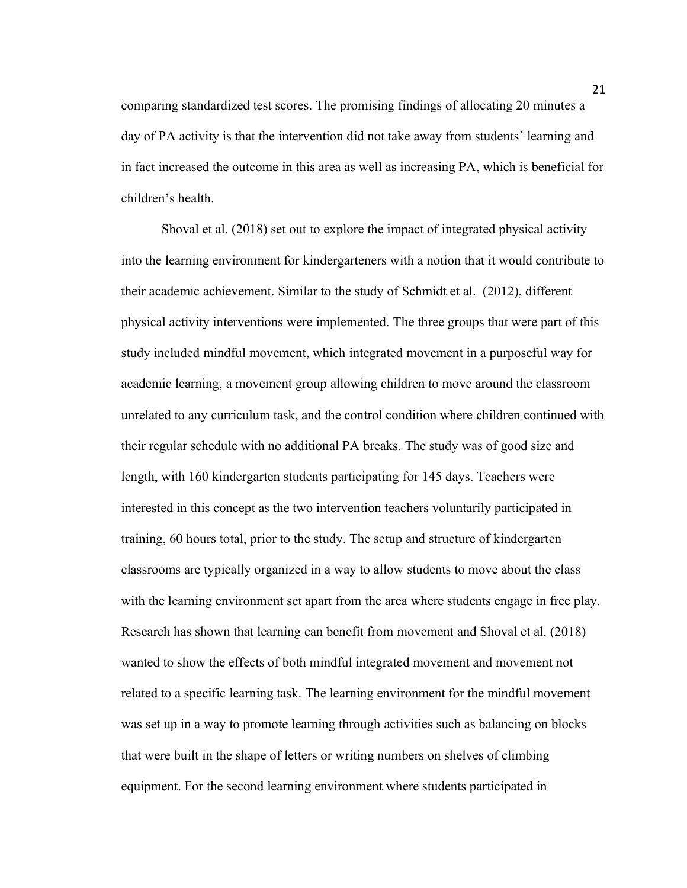comparing standardized test scores. The promising findings of allocating 20 minutes a day of PA activity is that the intervention did not take away from students' learning and in fact increased the outcome in this area as well as increasing PA, which is beneficial for children's health.

Shoval et al. (2018) set out to explore the impact of integrated physical activity into the learning environment for kindergarteners with a notion that it would contribute to their academic achievement. Similar to the study of Schmidt et al. (2012), different physical activity interventions were implemented. The three groups that were part of this study included mindful movement, which integrated movement in a purposeful way for academic learning, a movement group allowing children to move around the classroom unrelated to any curriculum task, and the control condition where children continued with their regular schedule with no additional PA breaks. The study was of good size and length, with 160 kindergarten students participating for 145 days. Teachers were interested in this concept as the two intervention teachers voluntarily participated in training, 60 hours total, prior to the study. The setup and structure of kindergarten classrooms are typically organized in a way to allow students to move about the class with the learning environment set apart from the area where students engage in free play. Research has shown that learning can benefit from movement and Shoval et al. (2018) wanted to show the effects of both mindful integrated movement and movement not related to a specific learning task. The learning environment for the mindful movement was set up in a way to promote learning through activities such as balancing on blocks that were built in the shape of letters or writing numbers on shelves of climbing equipment. For the second learning environment where students participated in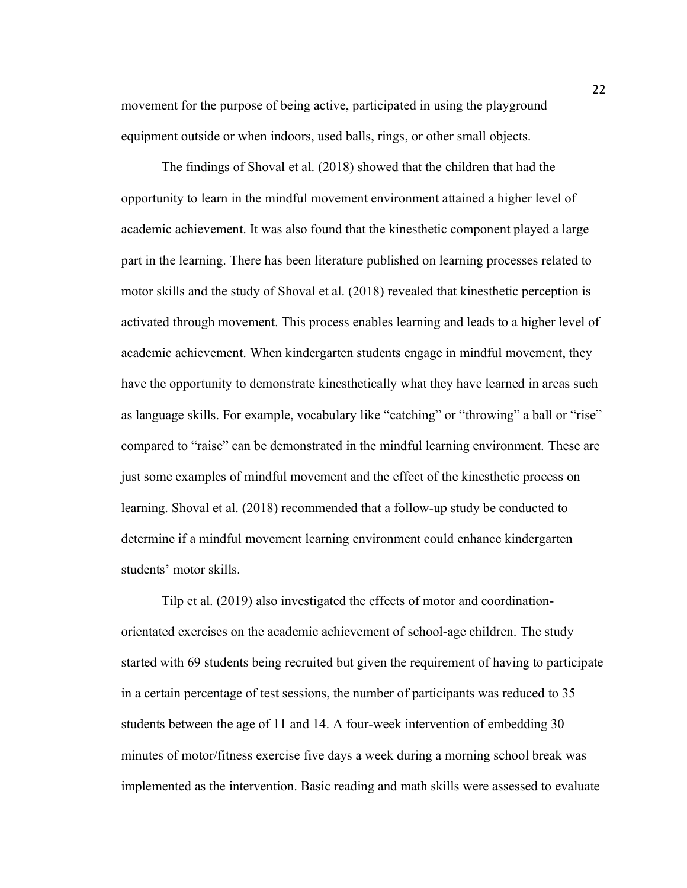movement for the purpose of being active, participated in using the playground equipment outside or when indoors, used balls, rings, or other small objects.

The findings of Shoval et al. (2018) showed that the children that had the opportunity to learn in the mindful movement environment attained a higher level of academic achievement. It was also found that the kinesthetic component played a large part in the learning. There has been literature published on learning processes related to motor skills and the study of Shoval et al. (2018) revealed that kinesthetic perception is activated through movement. This process enables learning and leads to a higher level of academic achievement. When kindergarten students engage in mindful movement, they have the opportunity to demonstrate kinesthetically what they have learned in areas such as language skills. For example, vocabulary like "catching" or "throwing" a ball or "rise" compared to "raise" can be demonstrated in the mindful learning environment. These are just some examples of mindful movement and the effect of the kinesthetic process on learning. Shoval et al. (2018) recommended that a follow-up study be conducted to determine if a mindful movement learning environment could enhance kindergarten students' motor skills.

Tilp et al. (2019) also investigated the effects of motor and coordinationorientated exercises on the academic achievement of school-age children. The study started with 69 students being recruited but given the requirement of having to participate in a certain percentage of test sessions, the number of participants was reduced to 35 students between the age of 11 and 14. A four-week intervention of embedding 30 minutes of motor/fitness exercise five days a week during a morning school break was implemented as the intervention. Basic reading and math skills were assessed to evaluate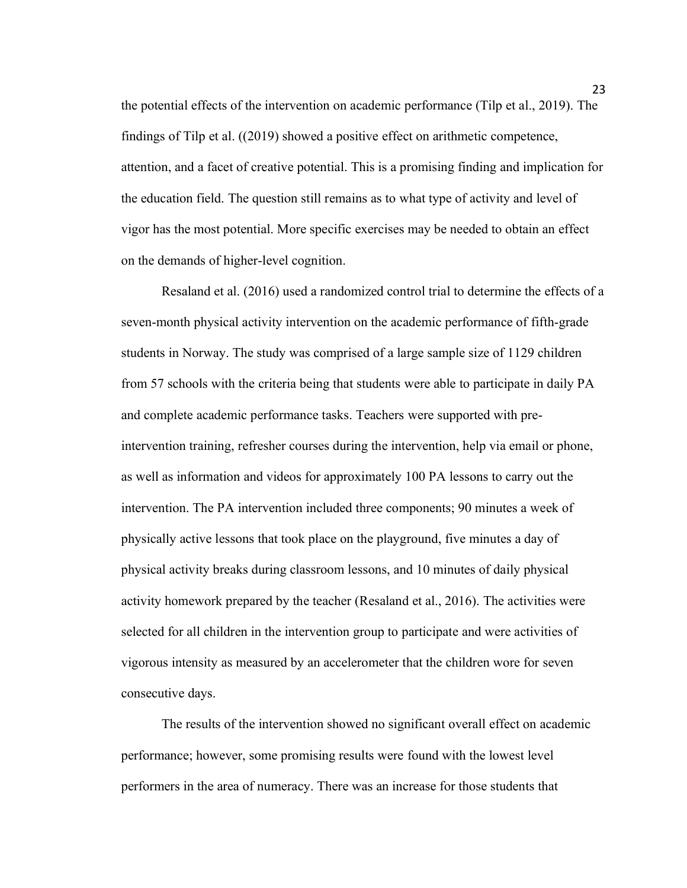the potential effects of the intervention on academic performance (Tilp et al., 2019). The findings of Tilp et al. ((2019) showed a positive effect on arithmetic competence, attention, and a facet of creative potential. This is a promising finding and implication for the education field. The question still remains as to what type of activity and level of vigor has the most potential. More specific exercises may be needed to obtain an effect on the demands of higher-level cognition.

Resaland et al. (2016) used a randomized control trial to determine the effects of a seven-month physical activity intervention on the academic performance of fifth-grade students in Norway. The study was comprised of a large sample size of 1129 children from 57 schools with the criteria being that students were able to participate in daily PA and complete academic performance tasks. Teachers were supported with preintervention training, refresher courses during the intervention, help via email or phone, as well as information and videos for approximately 100 PA lessons to carry out the intervention. The PA intervention included three components; 90 minutes a week of physically active lessons that took place on the playground, five minutes a day of physical activity breaks during classroom lessons, and 10 minutes of daily physical activity homework prepared by the teacher (Resaland et al., 2016). The activities were selected for all children in the intervention group to participate and were activities of vigorous intensity as measured by an accelerometer that the children wore for seven consecutive days.

The results of the intervention showed no significant overall effect on academic performance; however, some promising results were found with the lowest level performers in the area of numeracy. There was an increase for those students that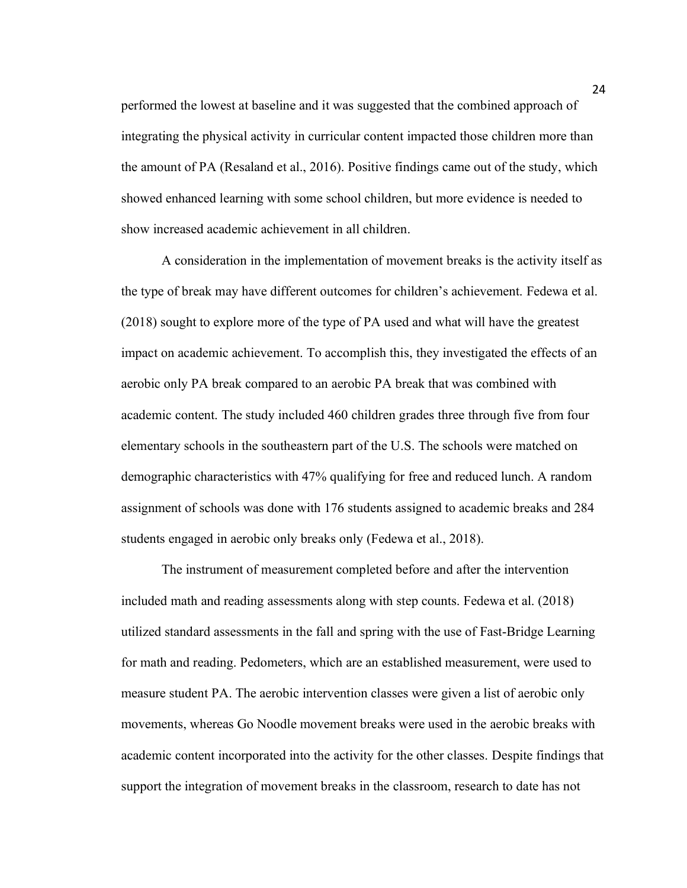performed the lowest at baseline and it was suggested that the combined approach of integrating the physical activity in curricular content impacted those children more than the amount of PA (Resaland et al., 2016). Positive findings came out of the study, which showed enhanced learning with some school children, but more evidence is needed to show increased academic achievement in all children.

A consideration in the implementation of movement breaks is the activity itself as the type of break may have different outcomes for children's achievement. Fedewa et al. (2018) sought to explore more of the type of PA used and what will have the greatest impact on academic achievement. To accomplish this, they investigated the effects of an aerobic only PA break compared to an aerobic PA break that was combined with academic content. The study included 460 children grades three through five from four elementary schools in the southeastern part of the U.S. The schools were matched on demographic characteristics with 47% qualifying for free and reduced lunch. A random assignment of schools was done with 176 students assigned to academic breaks and 284 students engaged in aerobic only breaks only (Fedewa et al., 2018).

The instrument of measurement completed before and after the intervention included math and reading assessments along with step counts. Fedewa et al. (2018) utilized standard assessments in the fall and spring with the use of Fast-Bridge Learning for math and reading. Pedometers, which are an established measurement, were used to measure student PA. The aerobic intervention classes were given a list of aerobic only movements, whereas Go Noodle movement breaks were used in the aerobic breaks with academic content incorporated into the activity for the other classes. Despite findings that support the integration of movement breaks in the classroom, research to date has not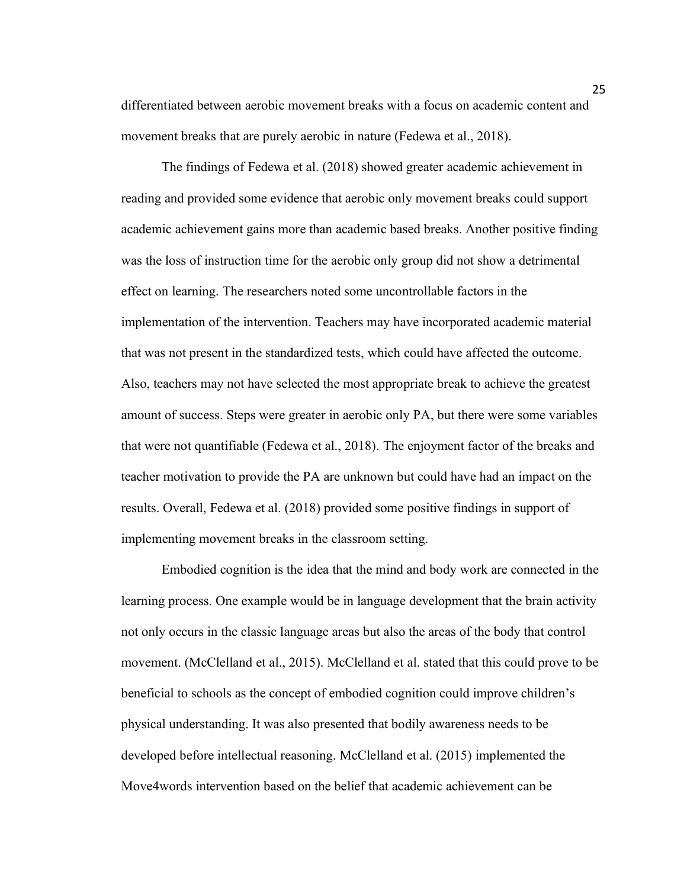differentiated between aerobic movement breaks with a focus on academic content and movement breaks that are purely aerobic in nature (Fedewa et al., 2018).

The findings of Fedewa et al. (2018) showed greater academic achievement in reading and provided some evidence that aerobic only movement breaks could support academic achievement gains more than academic based breaks. Another positive finding was the loss of instruction time for the aerobic only group did not show a detrimental effect on learning. The researchers noted some uncontrollable factors in the implementation of the intervention. Teachers may have incorporated academic material that was not present in the standardized tests, which could have affected the outcome. Also, teachers may not have selected the most appropriate break to achieve the greatest amount of success. Steps were greater in aerobic only PA, but there were some variables that were not quantifiable (Fedewa et al., 2018). The enjoyment factor of the breaks and teacher motivation to provide the PA are unknown but could have had an impact on the results. Overall, Fedewa et al. (2018) provided some positive findings in support of implementing movement breaks in the classroom setting.

Embodied cognition is the idea that the mind and body work are connected in the learning process. One example would be in language development that the brain activity not only occurs in the classic language areas but also the areas of the body that control movement. (McClelland et al., 2015). McClelland et al. stated that this could prove to be beneficial to schools as the concept of embodied cognition could improve children's physical understanding. It was also presented that bodily awareness needs to be developed before intellectual reasoning. McClelland et al. (2015) implemented the Move4words intervention based on the belief that academic achievement can be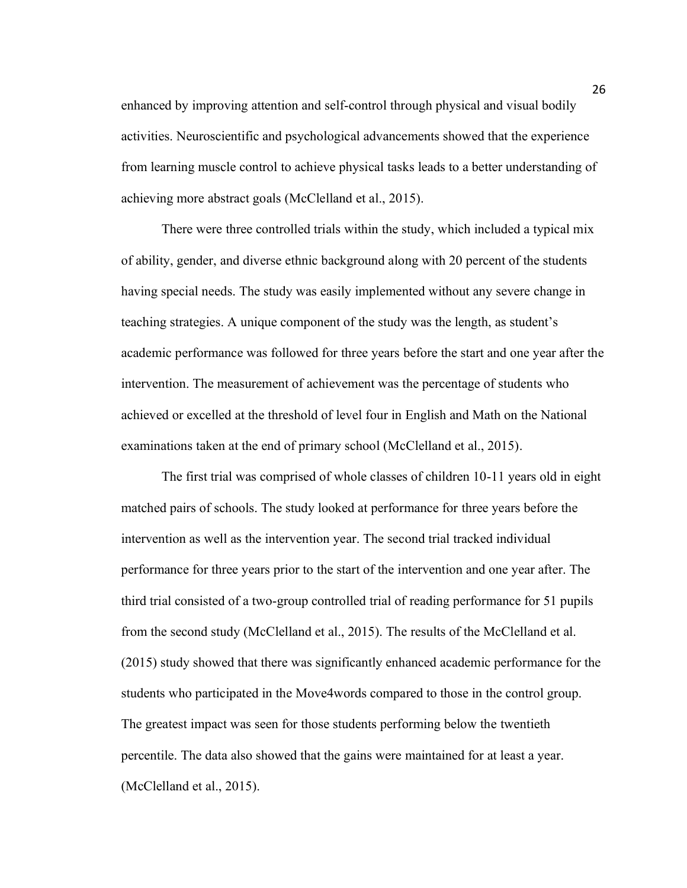enhanced by improving attention and self-control through physical and visual bodily activities. Neuroscientific and psychological advancements showed that the experience from learning muscle control to achieve physical tasks leads to a better understanding of achieving more abstract goals (McClelland et al., 2015).

There were three controlled trials within the study, which included a typical mix of ability, gender, and diverse ethnic background along with 20 percent of the students having special needs. The study was easily implemented without any severe change in teaching strategies. A unique component of the study was the length, as student's academic performance was followed for three years before the start and one year after the intervention. The measurement of achievement was the percentage of students who achieved or excelled at the threshold of level four in English and Math on the National examinations taken at the end of primary school (McClelland et al., 2015).

The first trial was comprised of whole classes of children 10-11 years old in eight matched pairs of schools. The study looked at performance for three years before the intervention as well as the intervention year. The second trial tracked individual performance for three years prior to the start of the intervention and one year after. The third trial consisted of a two-group controlled trial of reading performance for 51 pupils from the second study (McClelland et al., 2015). The results of the McClelland et al. (2015) study showed that there was significantly enhanced academic performance for the students who participated in the Move4words compared to those in the control group. The greatest impact was seen for those students performing below the twentieth percentile. The data also showed that the gains were maintained for at least a year. (McClelland et al., 2015).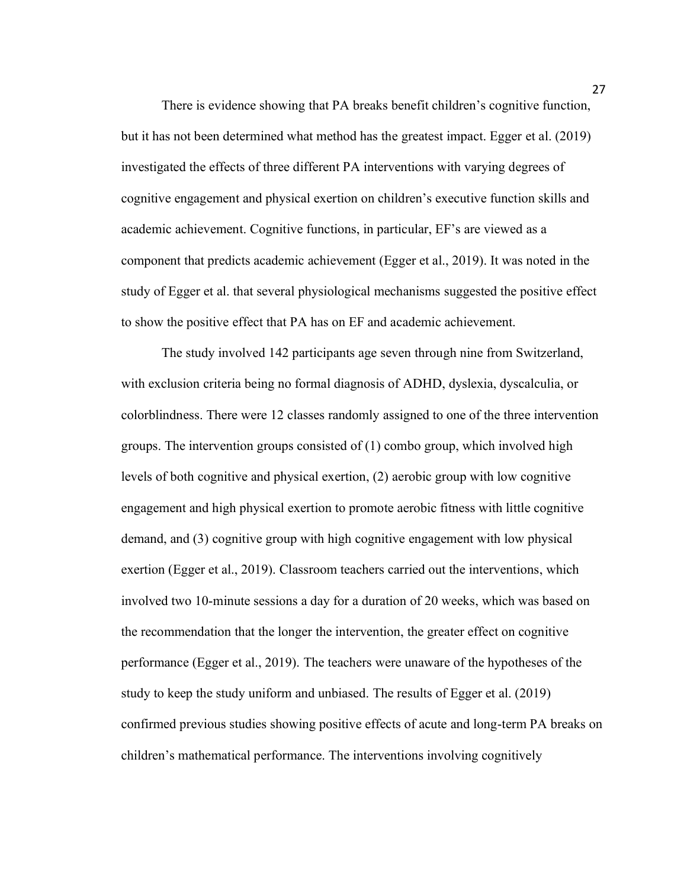There is evidence showing that PA breaks benefit children's cognitive function, but it has not been determined what method has the greatest impact. Egger et al. (2019) investigated the effects of three different PA interventions with varying degrees of cognitive engagement and physical exertion on children's executive function skills and academic achievement. Cognitive functions, in particular, EF's are viewed as a component that predicts academic achievement (Egger et al., 2019). It was noted in the study of Egger et al. that several physiological mechanisms suggested the positive effect to show the positive effect that PA has on EF and academic achievement.

The study involved 142 participants age seven through nine from Switzerland, with exclusion criteria being no formal diagnosis of ADHD, dyslexia, dyscalculia, or colorblindness. There were 12 classes randomly assigned to one of the three intervention groups. The intervention groups consisted of (1) combo group, which involved high levels of both cognitive and physical exertion, (2) aerobic group with low cognitive engagement and high physical exertion to promote aerobic fitness with little cognitive demand, and (3) cognitive group with high cognitive engagement with low physical exertion (Egger et al., 2019). Classroom teachers carried out the interventions, which involved two 10-minute sessions a day for a duration of 20 weeks, which was based on the recommendation that the longer the intervention, the greater effect on cognitive performance (Egger et al., 2019). The teachers were unaware of the hypotheses of the study to keep the study uniform and unbiased. The results of Egger et al. (2019) confirmed previous studies showing positive effects of acute and long-term PA breaks on children's mathematical performance. The interventions involving cognitively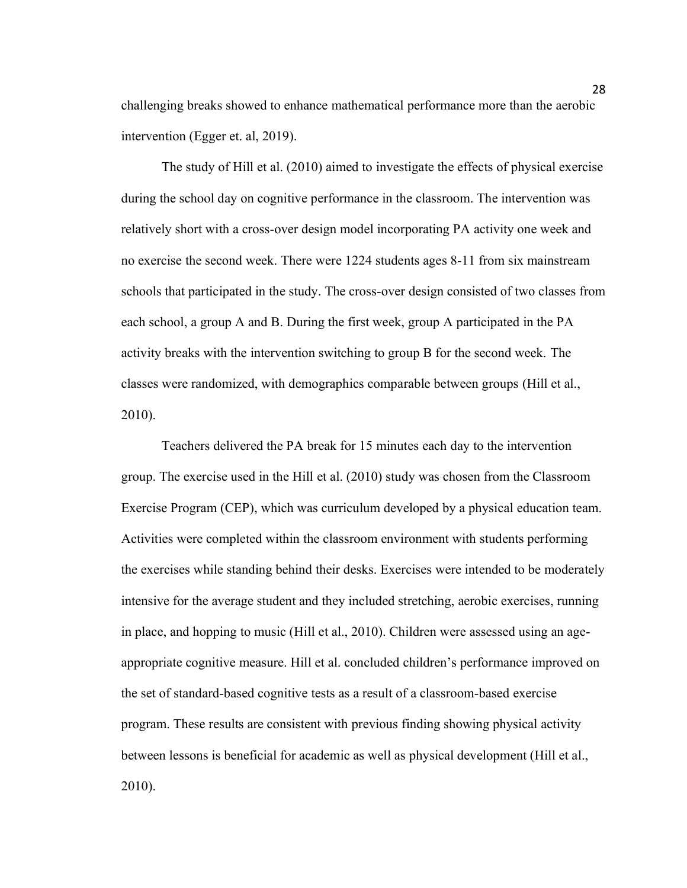challenging breaks showed to enhance mathematical performance more than the aerobic intervention (Egger et. al, 2019).

The study of Hill et al. (2010) aimed to investigate the effects of physical exercise during the school day on cognitive performance in the classroom. The intervention was relatively short with a cross-over design model incorporating PA activity one week and no exercise the second week. There were 1224 students ages 8-11 from six mainstream schools that participated in the study. The cross-over design consisted of two classes from each school, a group A and B. During the first week, group A participated in the PA activity breaks with the intervention switching to group B for the second week. The classes were randomized, with demographics comparable between groups (Hill et al., 2010).

Teachers delivered the PA break for 15 minutes each day to the intervention group. The exercise used in the Hill et al. (2010) study was chosen from the Classroom Exercise Program (CEP), which was curriculum developed by a physical education team. Activities were completed within the classroom environment with students performing the exercises while standing behind their desks. Exercises were intended to be moderately intensive for the average student and they included stretching, aerobic exercises, running in place, and hopping to music (Hill et al., 2010). Children were assessed using an ageappropriate cognitive measure. Hill et al. concluded children's performance improved on the set of standard-based cognitive tests as a result of a classroom-based exercise program. These results are consistent with previous finding showing physical activity between lessons is beneficial for academic as well as physical development (Hill et al., 2010).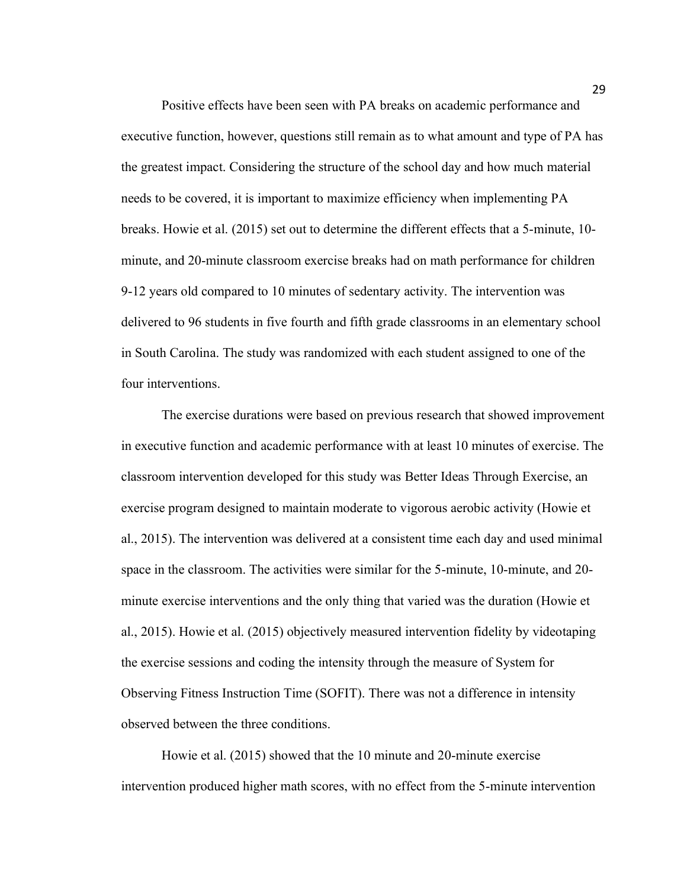Positive effects have been seen with PA breaks on academic performance and executive function, however, questions still remain as to what amount and type of PA has the greatest impact. Considering the structure of the school day and how much material needs to be covered, it is important to maximize efficiency when implementing PA breaks. Howie et al. (2015) set out to determine the different effects that a 5-minute, 10 minute, and 20-minute classroom exercise breaks had on math performance for children 9-12 years old compared to 10 minutes of sedentary activity. The intervention was delivered to 96 students in five fourth and fifth grade classrooms in an elementary school in South Carolina. The study was randomized with each student assigned to one of the four interventions.

The exercise durations were based on previous research that showed improvement in executive function and academic performance with at least 10 minutes of exercise. The classroom intervention developed for this study was Better Ideas Through Exercise, an exercise program designed to maintain moderate to vigorous aerobic activity (Howie et al., 2015). The intervention was delivered at a consistent time each day and used minimal space in the classroom. The activities were similar for the 5-minute, 10-minute, and 20 minute exercise interventions and the only thing that varied was the duration (Howie et al., 2015). Howie et al. (2015) objectively measured intervention fidelity by videotaping the exercise sessions and coding the intensity through the measure of System for Observing Fitness Instruction Time (SOFIT). There was not a difference in intensity observed between the three conditions.

Howie et al. (2015) showed that the 10 minute and 20-minute exercise intervention produced higher math scores, with no effect from the 5-minute intervention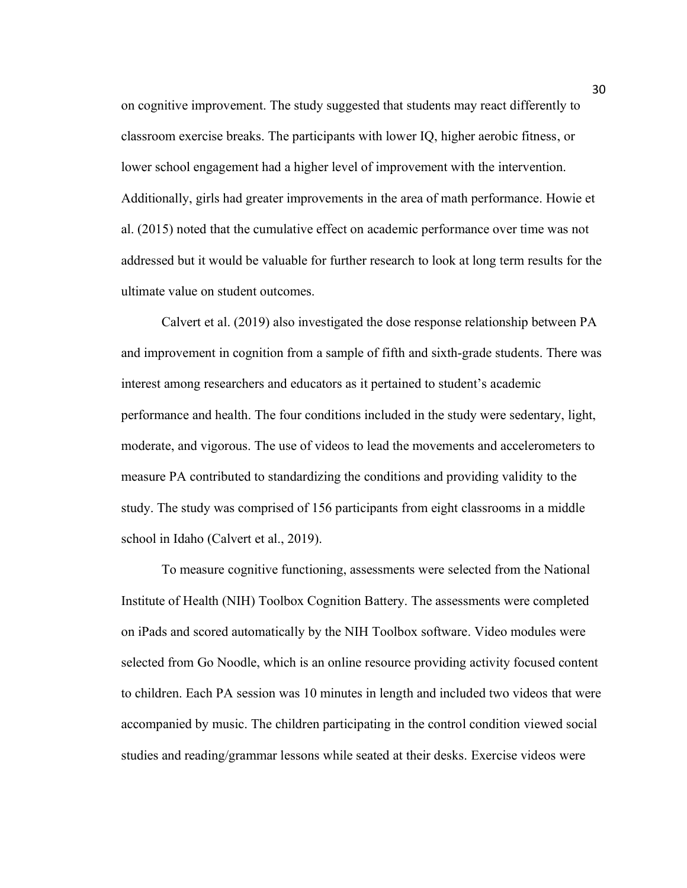on cognitive improvement. The study suggested that students may react differently to classroom exercise breaks. The participants with lower IQ, higher aerobic fitness, or lower school engagement had a higher level of improvement with the intervention. Additionally, girls had greater improvements in the area of math performance. Howie et al. (2015) noted that the cumulative effect on academic performance over time was not addressed but it would be valuable for further research to look at long term results for the ultimate value on student outcomes.

Calvert et al. (2019) also investigated the dose response relationship between PA and improvement in cognition from a sample of fifth and sixth-grade students. There was interest among researchers and educators as it pertained to student's academic performance and health. The four conditions included in the study were sedentary, light, moderate, and vigorous. The use of videos to lead the movements and accelerometers to measure PA contributed to standardizing the conditions and providing validity to the study. The study was comprised of 156 participants from eight classrooms in a middle school in Idaho (Calvert et al., 2019).

To measure cognitive functioning, assessments were selected from the National Institute of Health (NIH) Toolbox Cognition Battery. The assessments were completed on iPads and scored automatically by the NIH Toolbox software. Video modules were selected from Go Noodle, which is an online resource providing activity focused content to children. Each PA session was 10 minutes in length and included two videos that were accompanied by music. The children participating in the control condition viewed social studies and reading/grammar lessons while seated at their desks. Exercise videos were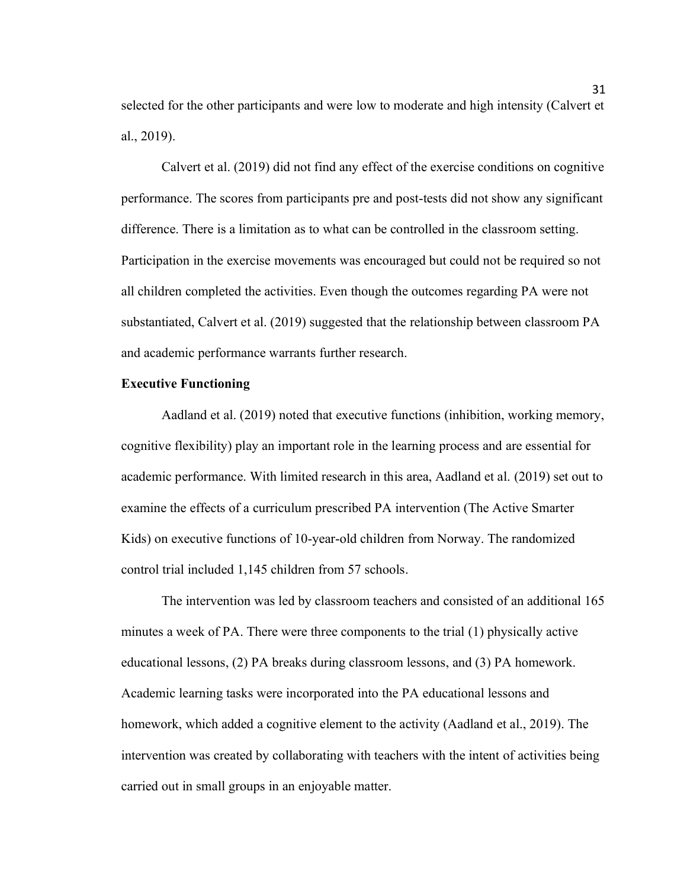selected for the other participants and were low to moderate and high intensity (Calvert et al., 2019).

Calvert et al. (2019) did not find any effect of the exercise conditions on cognitive performance. The scores from participants pre and post-tests did not show any significant difference. There is a limitation as to what can be controlled in the classroom setting. Participation in the exercise movements was encouraged but could not be required so not all children completed the activities. Even though the outcomes regarding PA were not substantiated, Calvert et al. (2019) suggested that the relationship between classroom PA and academic performance warrants further research.

#### **Executive Functioning**

Aadland et al. (2019) noted that executive functions (inhibition, working memory, cognitive flexibility) play an important role in the learning process and are essential for academic performance. With limited research in this area, Aadland et al. (2019) set out to examine the effects of a curriculum prescribed PA intervention (The Active Smarter Kids) on executive functions of 10-year-old children from Norway. The randomized control trial included 1,145 children from 57 schools.

The intervention was led by classroom teachers and consisted of an additional 165 minutes a week of PA. There were three components to the trial (1) physically active educational lessons, (2) PA breaks during classroom lessons, and (3) PA homework. Academic learning tasks were incorporated into the PA educational lessons and homework, which added a cognitive element to the activity (Aadland et al., 2019). The intervention was created by collaborating with teachers with the intent of activities being carried out in small groups in an enjoyable matter.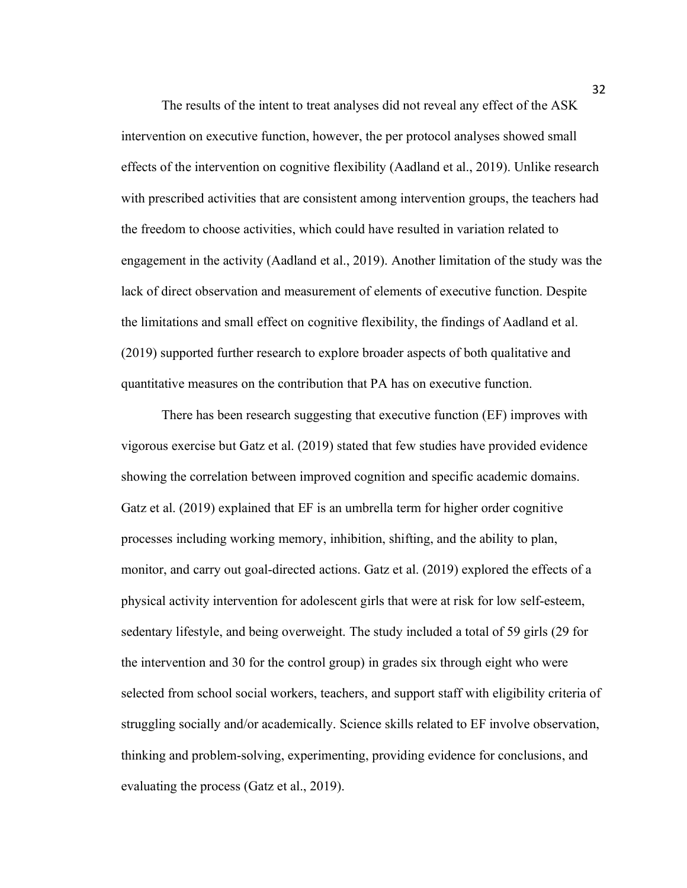The results of the intent to treat analyses did not reveal any effect of the ASK intervention on executive function, however, the per protocol analyses showed small effects of the intervention on cognitive flexibility (Aadland et al., 2019). Unlike research with prescribed activities that are consistent among intervention groups, the teachers had the freedom to choose activities, which could have resulted in variation related to engagement in the activity (Aadland et al., 2019). Another limitation of the study was the lack of direct observation and measurement of elements of executive function. Despite the limitations and small effect on cognitive flexibility, the findings of Aadland et al. (2019) supported further research to explore broader aspects of both qualitative and quantitative measures on the contribution that PA has on executive function.

There has been research suggesting that executive function (EF) improves with vigorous exercise but Gatz et al. (2019) stated that few studies have provided evidence showing the correlation between improved cognition and specific academic domains. Gatz et al. (2019) explained that EF is an umbrella term for higher order cognitive processes including working memory, inhibition, shifting, and the ability to plan, monitor, and carry out goal-directed actions. Gatz et al. (2019) explored the effects of a physical activity intervention for adolescent girls that were at risk for low self-esteem, sedentary lifestyle, and being overweight. The study included a total of 59 girls (29 for the intervention and 30 for the control group) in grades six through eight who were selected from school social workers, teachers, and support staff with eligibility criteria of struggling socially and/or academically. Science skills related to EF involve observation, thinking and problem-solving, experimenting, providing evidence for conclusions, and evaluating the process (Gatz et al., 2019).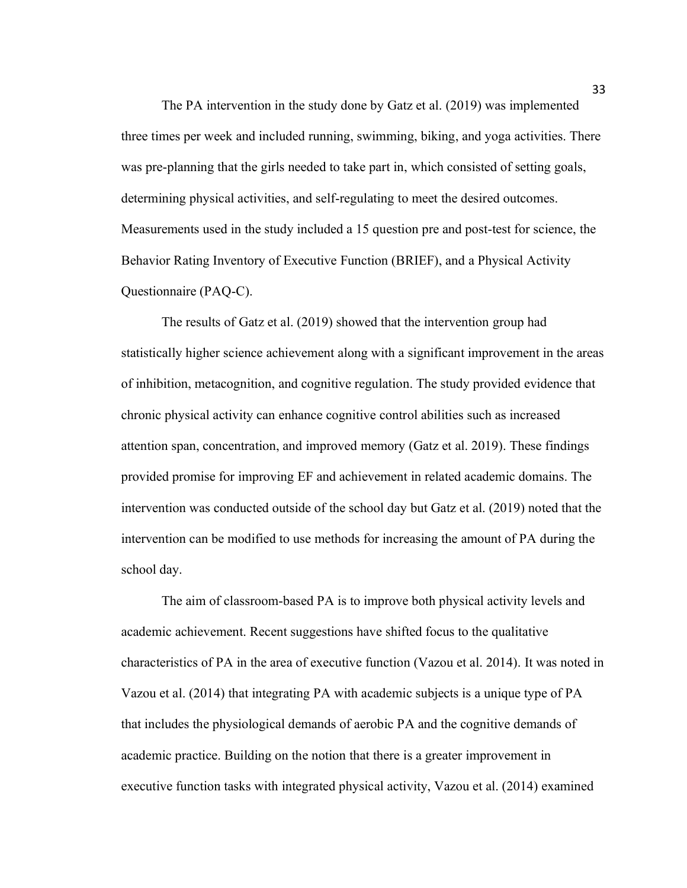The PA intervention in the study done by Gatz et al. (2019) was implemented three times per week and included running, swimming, biking, and yoga activities. There was pre-planning that the girls needed to take part in, which consisted of setting goals, determining physical activities, and self-regulating to meet the desired outcomes. Measurements used in the study included a 15 question pre and post-test for science, the Behavior Rating Inventory of Executive Function (BRIEF), and a Physical Activity Questionnaire (PAQ-C).

The results of Gatz et al. (2019) showed that the intervention group had statistically higher science achievement along with a significant improvement in the areas of inhibition, metacognition, and cognitive regulation. The study provided evidence that chronic physical activity can enhance cognitive control abilities such as increased attention span, concentration, and improved memory (Gatz et al. 2019). These findings provided promise for improving EF and achievement in related academic domains. The intervention was conducted outside of the school day but Gatz et al. (2019) noted that the intervention can be modified to use methods for increasing the amount of PA during the school day.

The aim of classroom-based PA is to improve both physical activity levels and academic achievement. Recent suggestions have shifted focus to the qualitative characteristics of PA in the area of executive function (Vazou et al. 2014). It was noted in Vazou et al. (2014) that integrating PA with academic subjects is a unique type of PA that includes the physiological demands of aerobic PA and the cognitive demands of academic practice. Building on the notion that there is a greater improvement in executive function tasks with integrated physical activity, Vazou et al. (2014) examined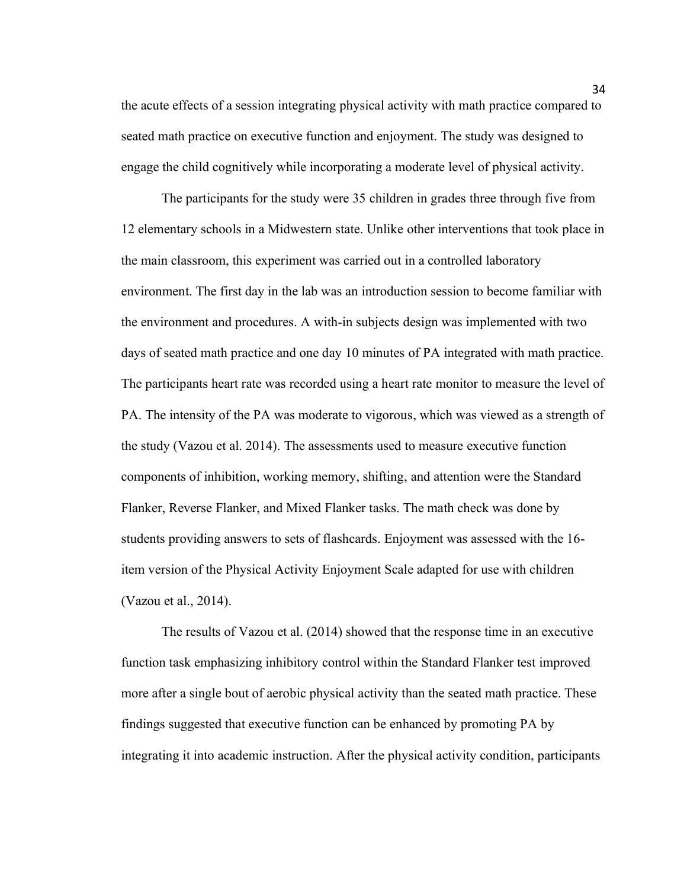the acute effects of a session integrating physical activity with math practice compared to seated math practice on executive function and enjoyment. The study was designed to engage the child cognitively while incorporating a moderate level of physical activity.

The participants for the study were 35 children in grades three through five from 12 elementary schools in a Midwestern state. Unlike other interventions that took place in the main classroom, this experiment was carried out in a controlled laboratory environment. The first day in the lab was an introduction session to become familiar with the environment and procedures. A with-in subjects design was implemented with two days of seated math practice and one day 10 minutes of PA integrated with math practice. The participants heart rate was recorded using a heart rate monitor to measure the level of PA. The intensity of the PA was moderate to vigorous, which was viewed as a strength of the study (Vazou et al. 2014). The assessments used to measure executive function components of inhibition, working memory, shifting, and attention were the Standard Flanker, Reverse Flanker, and Mixed Flanker tasks. The math check was done by students providing answers to sets of flashcards. Enjoyment was assessed with the 16 item version of the Physical Activity Enjoyment Scale adapted for use with children (Vazou et al., 2014).

The results of Vazou et al. (2014) showed that the response time in an executive function task emphasizing inhibitory control within the Standard Flanker test improved more after a single bout of aerobic physical activity than the seated math practice. These findings suggested that executive function can be enhanced by promoting PA by integrating it into academic instruction. After the physical activity condition, participants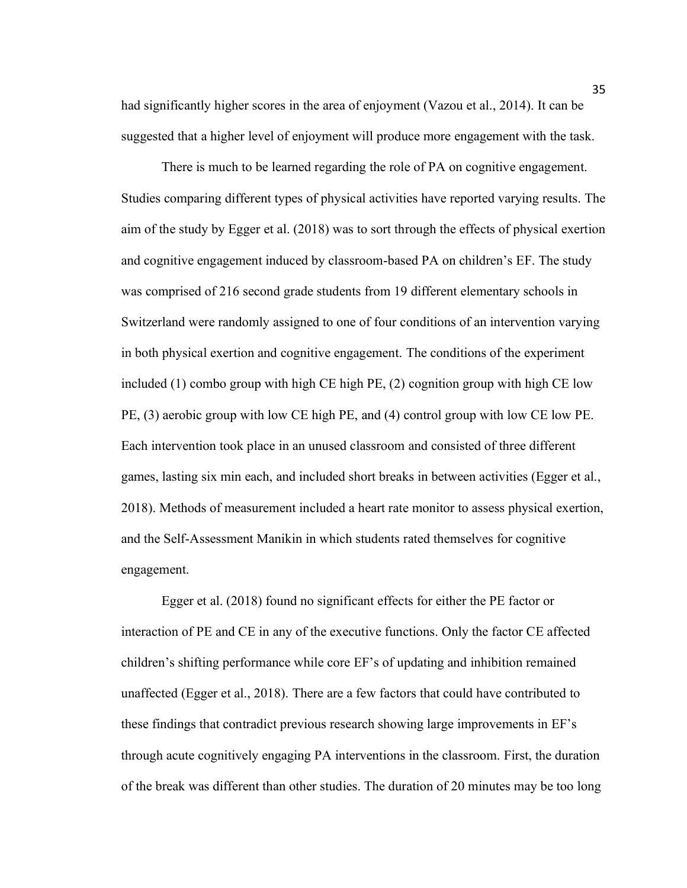had significantly higher scores in the area of enjoyment (Vazou et al., 2014). It can be suggested that a higher level of enjoyment will produce more engagement with the task.

There is much to be learned regarding the role of PA on cognitive engagement. Studies comparing different types of physical activities have reported varying results. The aim of the study by Egger et al. (2018) was to sort through the effects of physical exertion and cognitive engagement induced by classroom-based PA on children's EF. The study was comprised of 216 second grade students from 19 different elementary schools in Switzerland were randomly assigned to one of four conditions of an intervention varying in both physical exertion and cognitive engagement. The conditions of the experiment included (1) combo group with high CE high PE, (2) cognition group with high CE low PE, (3) aerobic group with low CE high PE, and (4) control group with low CE low PE. Each intervention took place in an unused classroom and consisted of three different games, lasting six min each, and included short breaks in between activities (Egger et al., 2018). Methods of measurement included a heart rate monitor to assess physical exertion, and the Self-Assessment Manikin in which students rated themselves for cognitive engagement.

Egger et al. (2018) found no significant effects for either the PE factor or interaction of PE and CE in any of the executive functions. Only the factor CE affected children's shifting performance while core EF's of updating and inhibition remained unaffected (Egger et al., 2018). There are a few factors that could have contributed to these findings that contradict previous research showing large improvements in EF's through acute cognitively engaging PA interventions in the classroom. First, the duration of the break was different than other studies. The duration of 20 minutes may be too long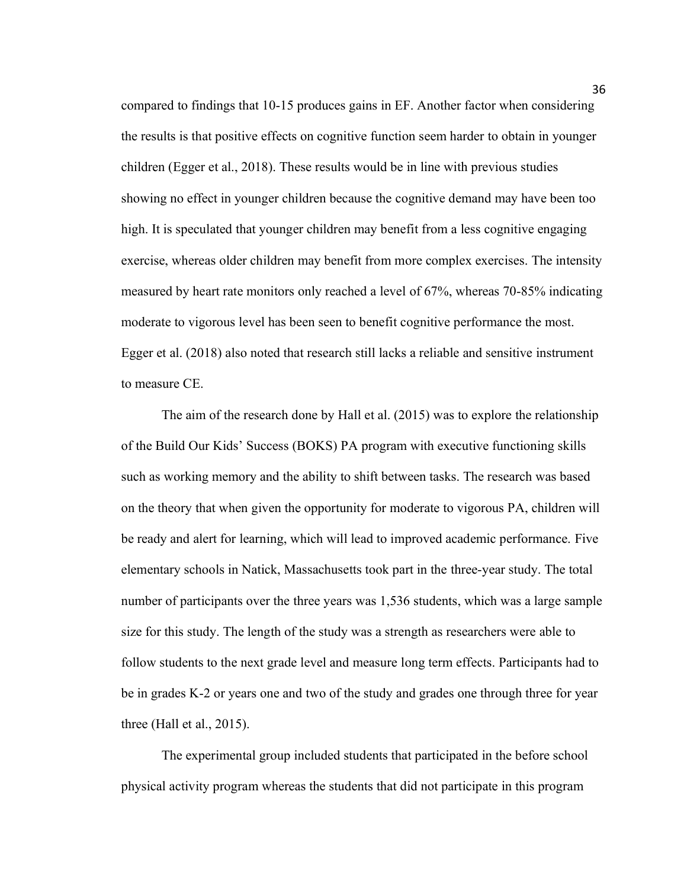compared to findings that 10-15 produces gains in EF. Another factor when considering the results is that positive effects on cognitive function seem harder to obtain in younger children (Egger et al., 2018). These results would be in line with previous studies showing no effect in younger children because the cognitive demand may have been too high. It is speculated that younger children may benefit from a less cognitive engaging exercise, whereas older children may benefit from more complex exercises. The intensity measured by heart rate monitors only reached a level of 67%, whereas 70-85% indicating moderate to vigorous level has been seen to benefit cognitive performance the most. Egger et al. (2018) also noted that research still lacks a reliable and sensitive instrument to measure CE.

The aim of the research done by Hall et al. (2015) was to explore the relationship of the Build Our Kids' Success (BOKS) PA program with executive functioning skills such as working memory and the ability to shift between tasks. The research was based on the theory that when given the opportunity for moderate to vigorous PA, children will be ready and alert for learning, which will lead to improved academic performance. Five elementary schools in Natick, Massachusetts took part in the three-year study. The total number of participants over the three years was 1,536 students, which was a large sample size for this study. The length of the study was a strength as researchers were able to follow students to the next grade level and measure long term effects. Participants had to be in grades K-2 or years one and two of the study and grades one through three for year three (Hall et al., 2015).

The experimental group included students that participated in the before school physical activity program whereas the students that did not participate in this program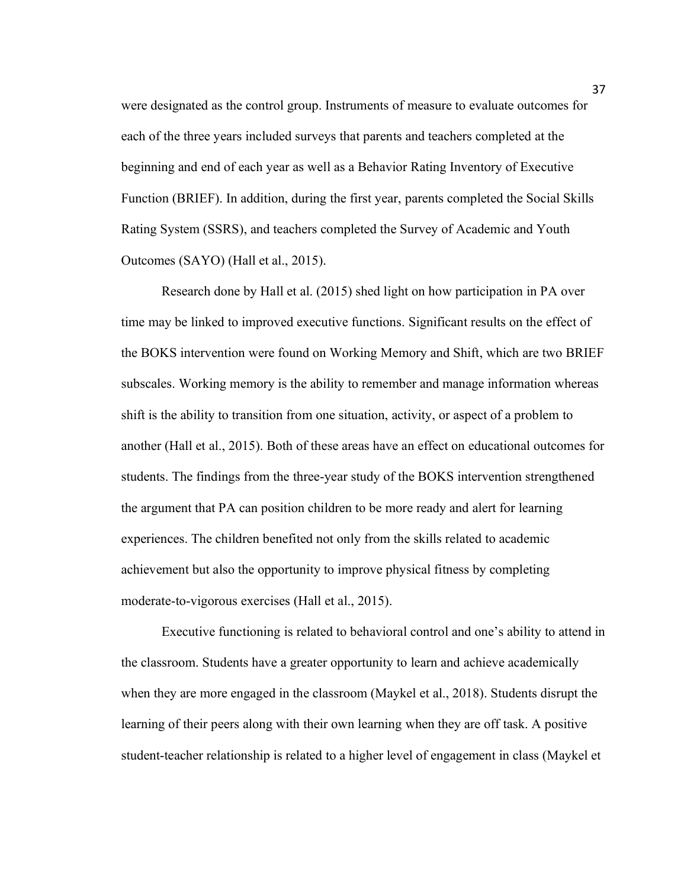were designated as the control group. Instruments of measure to evaluate outcomes for each of the three years included surveys that parents and teachers completed at the beginning and end of each year as well as a Behavior Rating Inventory of Executive Function (BRIEF). In addition, during the first year, parents completed the Social Skills Rating System (SSRS), and teachers completed the Survey of Academic and Youth Outcomes (SAYO) (Hall et al., 2015).

Research done by Hall et al. (2015) shed light on how participation in PA over time may be linked to improved executive functions. Significant results on the effect of the BOKS intervention were found on Working Memory and Shift, which are two BRIEF subscales. Working memory is the ability to remember and manage information whereas shift is the ability to transition from one situation, activity, or aspect of a problem to another (Hall et al., 2015). Both of these areas have an effect on educational outcomes for students. The findings from the three-year study of the BOKS intervention strengthened the argument that PA can position children to be more ready and alert for learning experiences. The children benefited not only from the skills related to academic achievement but also the opportunity to improve physical fitness by completing moderate-to-vigorous exercises (Hall et al., 2015).

Executive functioning is related to behavioral control and one's ability to attend in the classroom. Students have a greater opportunity to learn and achieve academically when they are more engaged in the classroom (Maykel et al., 2018). Students disrupt the learning of their peers along with their own learning when they are off task. A positive student-teacher relationship is related to a higher level of engagement in class (Maykel et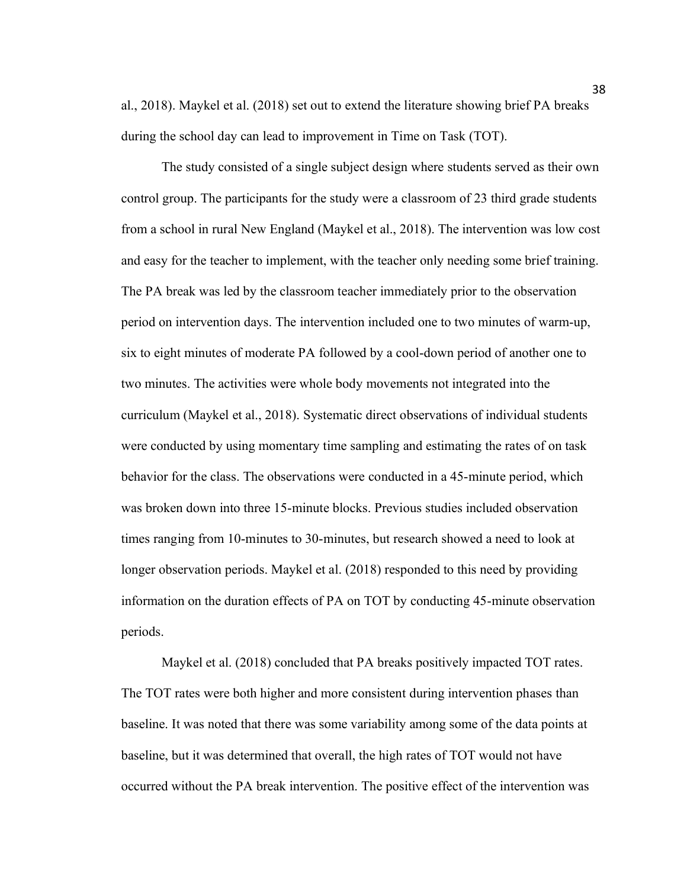al., 2018). Maykel et al. (2018) set out to extend the literature showing brief PA breaks during the school day can lead to improvement in Time on Task (TOT).

The study consisted of a single subject design where students served as their own control group. The participants for the study were a classroom of 23 third grade students from a school in rural New England (Maykel et al., 2018). The intervention was low cost and easy for the teacher to implement, with the teacher only needing some brief training. The PA break was led by the classroom teacher immediately prior to the observation period on intervention days. The intervention included one to two minutes of warm-up, six to eight minutes of moderate PA followed by a cool-down period of another one to two minutes. The activities were whole body movements not integrated into the curriculum (Maykel et al., 2018). Systematic direct observations of individual students were conducted by using momentary time sampling and estimating the rates of on task behavior for the class. The observations were conducted in a 45-minute period, which was broken down into three 15-minute blocks. Previous studies included observation times ranging from 10-minutes to 30-minutes, but research showed a need to look at longer observation periods. Maykel et al. (2018) responded to this need by providing information on the duration effects of PA on TOT by conducting 45-minute observation periods.

Maykel et al. (2018) concluded that PA breaks positively impacted TOT rates. The TOT rates were both higher and more consistent during intervention phases than baseline. It was noted that there was some variability among some of the data points at baseline, but it was determined that overall, the high rates of TOT would not have occurred without the PA break intervention. The positive effect of the intervention was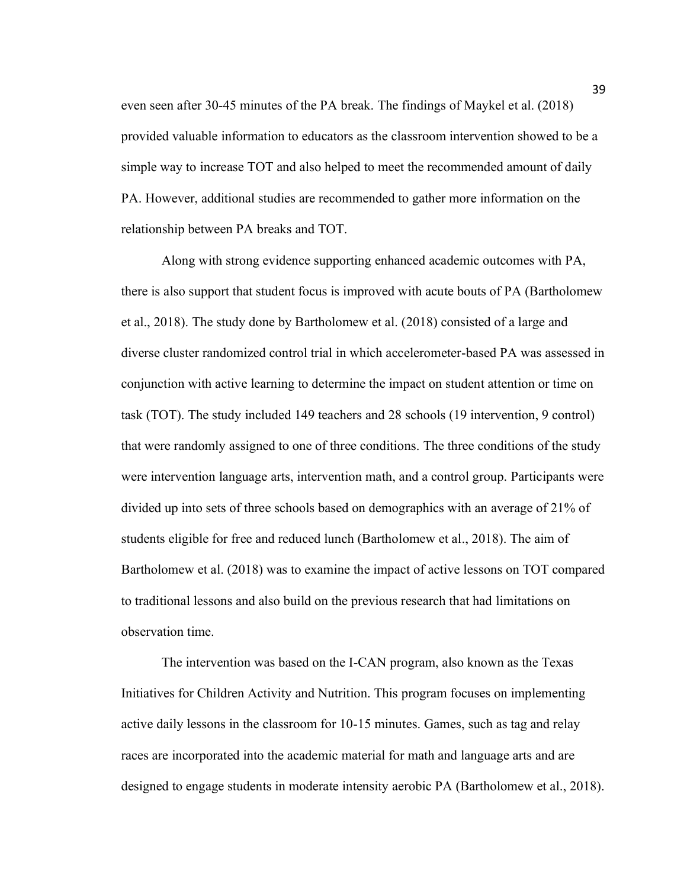even seen after 30-45 minutes of the PA break. The findings of Maykel et al. (2018) provided valuable information to educators as the classroom intervention showed to be a simple way to increase TOT and also helped to meet the recommended amount of daily PA. However, additional studies are recommended to gather more information on the relationship between PA breaks and TOT.

Along with strong evidence supporting enhanced academic outcomes with PA, there is also support that student focus is improved with acute bouts of PA (Bartholomew et al., 2018). The study done by Bartholomew et al. (2018) consisted of a large and diverse cluster randomized control trial in which accelerometer-based PA was assessed in conjunction with active learning to determine the impact on student attention or time on task (TOT). The study included 149 teachers and 28 schools (19 intervention, 9 control) that were randomly assigned to one of three conditions. The three conditions of the study were intervention language arts, intervention math, and a control group. Participants were divided up into sets of three schools based on demographics with an average of 21% of students eligible for free and reduced lunch (Bartholomew et al., 2018). The aim of Bartholomew et al. (2018) was to examine the impact of active lessons on TOT compared to traditional lessons and also build on the previous research that had limitations on observation time.

The intervention was based on the I-CAN program, also known as the Texas Initiatives for Children Activity and Nutrition. This program focuses on implementing active daily lessons in the classroom for 10-15 minutes. Games, such as tag and relay races are incorporated into the academic material for math and language arts and are designed to engage students in moderate intensity aerobic PA (Bartholomew et al., 2018).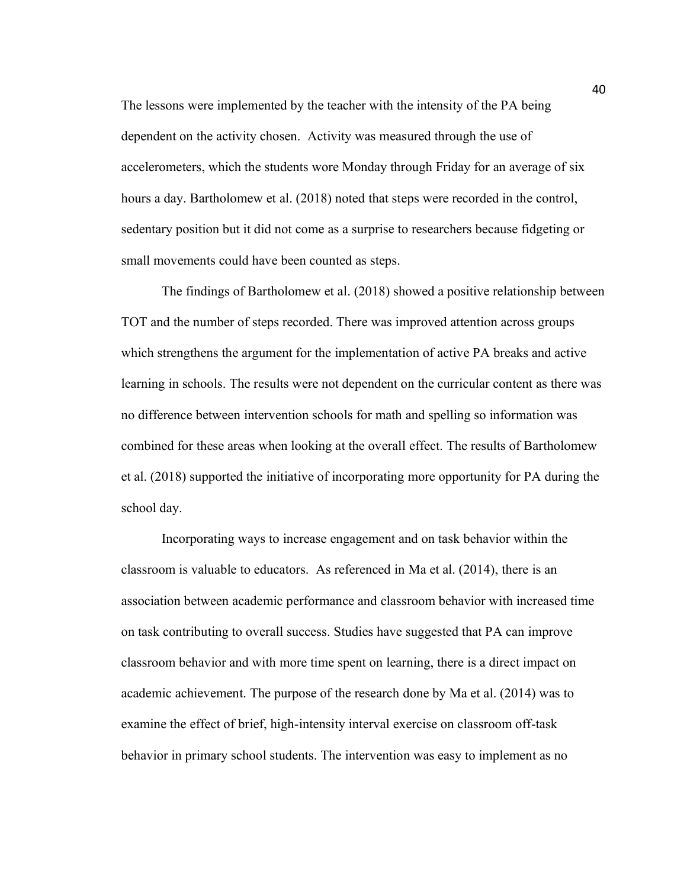The lessons were implemented by the teacher with the intensity of the PA being dependent on the activity chosen. Activity was measured through the use of accelerometers, which the students wore Monday through Friday for an average of six hours a day. Bartholomew et al. (2018) noted that steps were recorded in the control, sedentary position but it did not come as a surprise to researchers because fidgeting or small movements could have been counted as steps.

The findings of Bartholomew et al. (2018) showed a positive relationship between TOT and the number of steps recorded. There was improved attention across groups which strengthens the argument for the implementation of active PA breaks and active learning in schools. The results were not dependent on the curricular content as there was no difference between intervention schools for math and spelling so information was combined for these areas when looking at the overall effect. The results of Bartholomew et al. (2018) supported the initiative of incorporating more opportunity for PA during the school day.

Incorporating ways to increase engagement and on task behavior within the classroom is valuable to educators. As referenced in Ma et al. (2014), there is an association between academic performance and classroom behavior with increased time on task contributing to overall success. Studies have suggested that PA can improve classroom behavior and with more time spent on learning, there is a direct impact on academic achievement. The purpose of the research done by Ma et al. (2014) was to examine the effect of brief, high-intensity interval exercise on classroom off-task behavior in primary school students. The intervention was easy to implement as no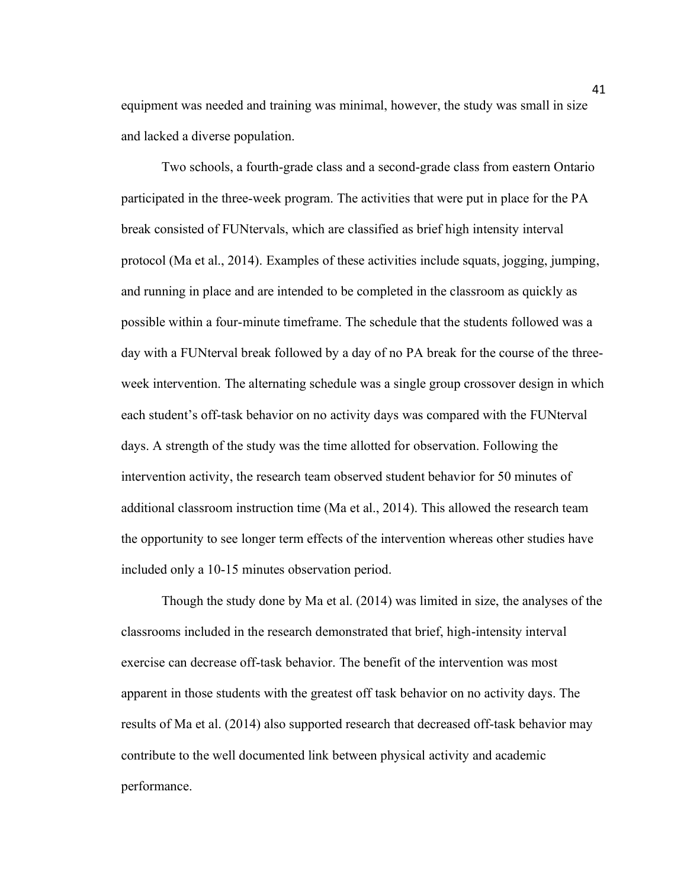equipment was needed and training was minimal, however, the study was small in size and lacked a diverse population.

Two schools, a fourth-grade class and a second-grade class from eastern Ontario participated in the three-week program. The activities that were put in place for the PA break consisted of FUNtervals, which are classified as brief high intensity interval protocol (Ma et al., 2014). Examples of these activities include squats, jogging, jumping, and running in place and are intended to be completed in the classroom as quickly as possible within a four-minute timeframe. The schedule that the students followed was a day with a FUNterval break followed by a day of no PA break for the course of the threeweek intervention. The alternating schedule was a single group crossover design in which each student's off-task behavior on no activity days was compared with the FUNterval days. A strength of the study was the time allotted for observation. Following the intervention activity, the research team observed student behavior for 50 minutes of additional classroom instruction time (Ma et al., 2014). This allowed the research team the opportunity to see longer term effects of the intervention whereas other studies have included only a 10-15 minutes observation period.

Though the study done by Ma et al. (2014) was limited in size, the analyses of the classrooms included in the research demonstrated that brief, high-intensity interval exercise can decrease off-task behavior. The benefit of the intervention was most apparent in those students with the greatest off task behavior on no activity days. The results of Ma et al. (2014) also supported research that decreased off-task behavior may contribute to the well documented link between physical activity and academic performance.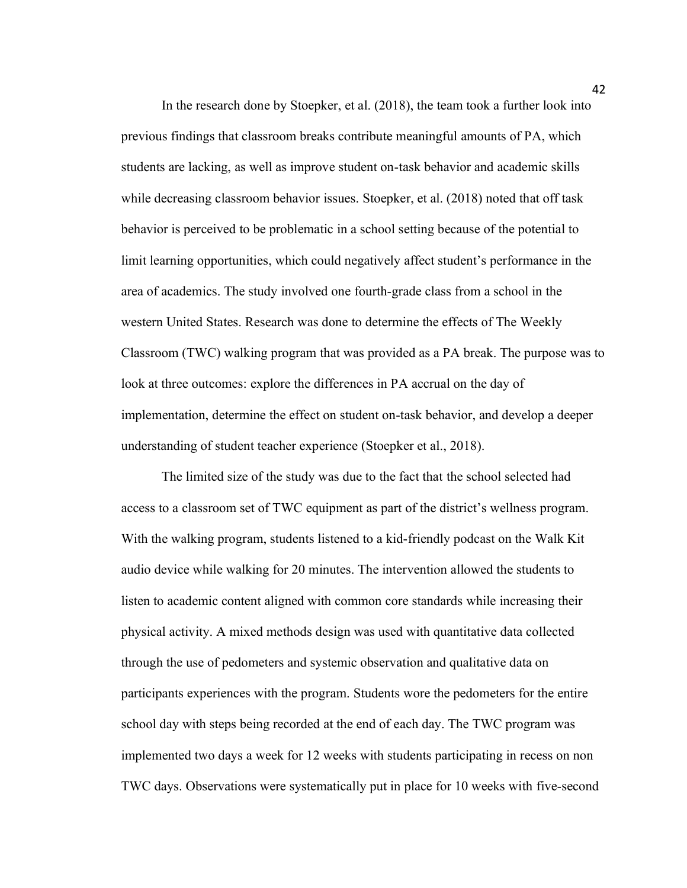In the research done by Stoepker, et al. (2018), the team took a further look into previous findings that classroom breaks contribute meaningful amounts of PA, which students are lacking, as well as improve student on-task behavior and academic skills while decreasing classroom behavior issues. Stoepker, et al. (2018) noted that off task behavior is perceived to be problematic in a school setting because of the potential to limit learning opportunities, which could negatively affect student's performance in the area of academics. The study involved one fourth-grade class from a school in the western United States. Research was done to determine the effects of The Weekly Classroom (TWC) walking program that was provided as a PA break. The purpose was to look at three outcomes: explore the differences in PA accrual on the day of implementation, determine the effect on student on-task behavior, and develop a deeper understanding of student teacher experience (Stoepker et al., 2018).

The limited size of the study was due to the fact that the school selected had access to a classroom set of TWC equipment as part of the district's wellness program. With the walking program, students listened to a kid-friendly podcast on the Walk Kit audio device while walking for 20 minutes. The intervention allowed the students to listen to academic content aligned with common core standards while increasing their physical activity. A mixed methods design was used with quantitative data collected through the use of pedometers and systemic observation and qualitative data on participants experiences with the program. Students wore the pedometers for the entire school day with steps being recorded at the end of each day. The TWC program was implemented two days a week for 12 weeks with students participating in recess on non TWC days. Observations were systematically put in place for 10 weeks with five-second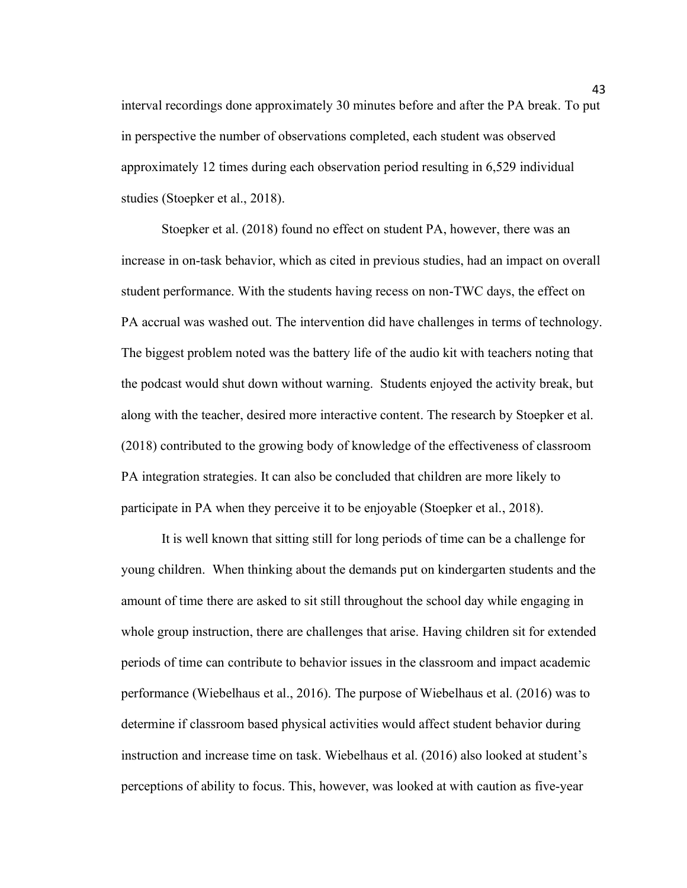interval recordings done approximately 30 minutes before and after the PA break. To put in perspective the number of observations completed, each student was observed approximately 12 times during each observation period resulting in 6,529 individual studies (Stoepker et al., 2018).

Stoepker et al. (2018) found no effect on student PA, however, there was an increase in on-task behavior, which as cited in previous studies, had an impact on overall student performance. With the students having recess on non-TWC days, the effect on PA accrual was washed out. The intervention did have challenges in terms of technology. The biggest problem noted was the battery life of the audio kit with teachers noting that the podcast would shut down without warning. Students enjoyed the activity break, but along with the teacher, desired more interactive content. The research by Stoepker et al. (2018) contributed to the growing body of knowledge of the effectiveness of classroom PA integration strategies. It can also be concluded that children are more likely to participate in PA when they perceive it to be enjoyable (Stoepker et al., 2018).

It is well known that sitting still for long periods of time can be a challenge for young children. When thinking about the demands put on kindergarten students and the amount of time there are asked to sit still throughout the school day while engaging in whole group instruction, there are challenges that arise. Having children sit for extended periods of time can contribute to behavior issues in the classroom and impact academic performance (Wiebelhaus et al., 2016). The purpose of Wiebelhaus et al. (2016) was to determine if classroom based physical activities would affect student behavior during instruction and increase time on task. Wiebelhaus et al. (2016) also looked at student's perceptions of ability to focus. This, however, was looked at with caution as five-year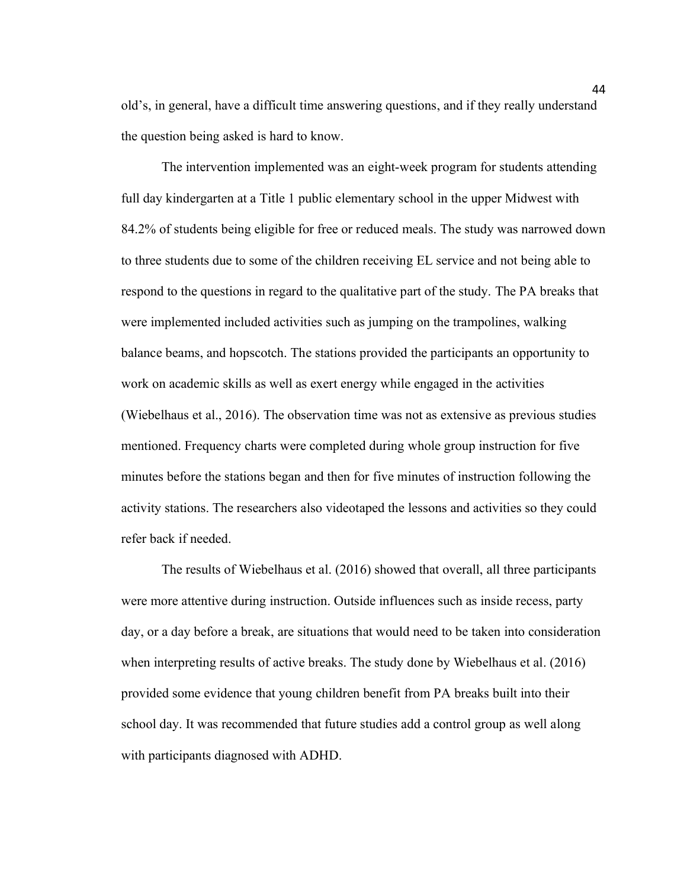old's, in general, have a difficult time answering questions, and if they really understand the question being asked is hard to know.

The intervention implemented was an eight-week program for students attending full day kindergarten at a Title 1 public elementary school in the upper Midwest with 84.2% of students being eligible for free or reduced meals. The study was narrowed down to three students due to some of the children receiving EL service and not being able to respond to the questions in regard to the qualitative part of the study. The PA breaks that were implemented included activities such as jumping on the trampolines, walking balance beams, and hopscotch. The stations provided the participants an opportunity to work on academic skills as well as exert energy while engaged in the activities (Wiebelhaus et al., 2016). The observation time was not as extensive as previous studies mentioned. Frequency charts were completed during whole group instruction for five minutes before the stations began and then for five minutes of instruction following the activity stations. The researchers also videotaped the lessons and activities so they could refer back if needed.

The results of Wiebelhaus et al. (2016) showed that overall, all three participants were more attentive during instruction. Outside influences such as inside recess, party day, or a day before a break, are situations that would need to be taken into consideration when interpreting results of active breaks. The study done by Wiebelhaus et al. (2016) provided some evidence that young children benefit from PA breaks built into their school day. It was recommended that future studies add a control group as well along with participants diagnosed with ADHD.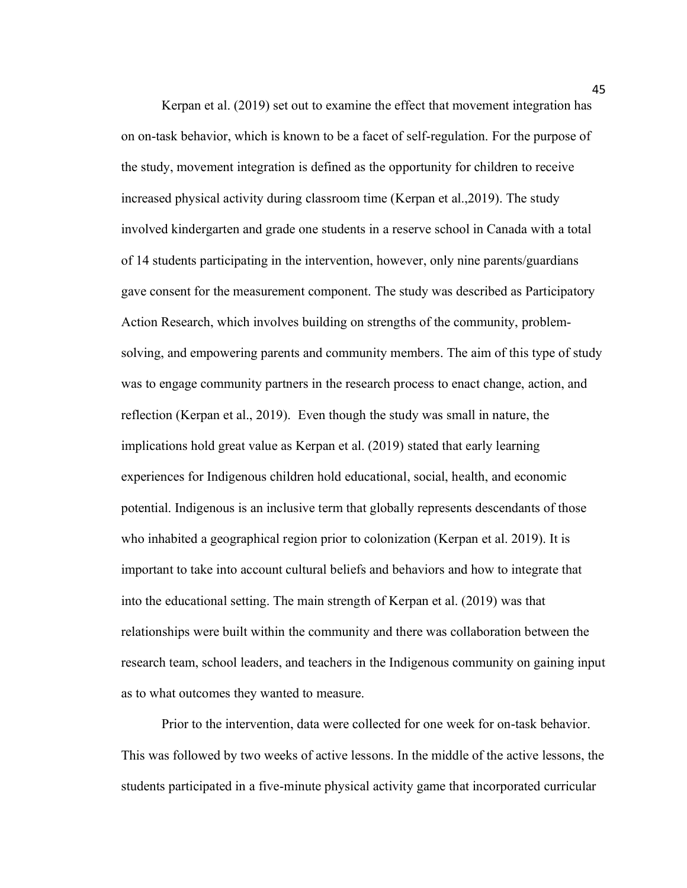Kerpan et al. (2019) set out to examine the effect that movement integration has on on-task behavior, which is known to be a facet of self-regulation. For the purpose of the study, movement integration is defined as the opportunity for children to receive increased physical activity during classroom time (Kerpan et al.,2019). The study involved kindergarten and grade one students in a reserve school in Canada with a total of 14 students participating in the intervention, however, only nine parents/guardians gave consent for the measurement component. The study was described as Participatory Action Research, which involves building on strengths of the community, problemsolving, and empowering parents and community members. The aim of this type of study was to engage community partners in the research process to enact change, action, and reflection (Kerpan et al., 2019). Even though the study was small in nature, the implications hold great value as Kerpan et al. (2019) stated that early learning experiences for Indigenous children hold educational, social, health, and economic potential. Indigenous is an inclusive term that globally represents descendants of those who inhabited a geographical region prior to colonization (Kerpan et al. 2019). It is important to take into account cultural beliefs and behaviors and how to integrate that into the educational setting. The main strength of Kerpan et al. (2019) was that relationships were built within the community and there was collaboration between the research team, school leaders, and teachers in the Indigenous community on gaining input as to what outcomes they wanted to measure.

Prior to the intervention, data were collected for one week for on-task behavior. This was followed by two weeks of active lessons. In the middle of the active lessons, the students participated in a five-minute physical activity game that incorporated curricular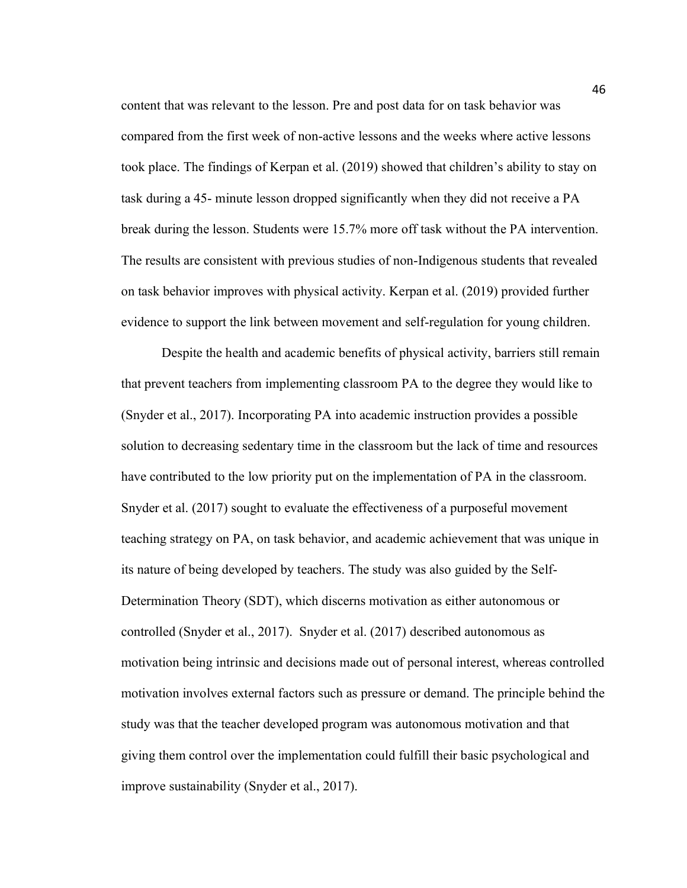content that was relevant to the lesson. Pre and post data for on task behavior was compared from the first week of non-active lessons and the weeks where active lessons took place. The findings of Kerpan et al. (2019) showed that children's ability to stay on task during a 45- minute lesson dropped significantly when they did not receive a PA break during the lesson. Students were 15.7% more off task without the PA intervention. The results are consistent with previous studies of non-Indigenous students that revealed on task behavior improves with physical activity. Kerpan et al. (2019) provided further evidence to support the link between movement and self-regulation for young children.

Despite the health and academic benefits of physical activity, barriers still remain that prevent teachers from implementing classroom PA to the degree they would like to (Snyder et al., 2017). Incorporating PA into academic instruction provides a possible solution to decreasing sedentary time in the classroom but the lack of time and resources have contributed to the low priority put on the implementation of PA in the classroom. Snyder et al. (2017) sought to evaluate the effectiveness of a purposeful movement teaching strategy on PA, on task behavior, and academic achievement that was unique in its nature of being developed by teachers. The study was also guided by the Self-Determination Theory (SDT), which discerns motivation as either autonomous or controlled (Snyder et al., 2017). Snyder et al. (2017) described autonomous as motivation being intrinsic and decisions made out of personal interest, whereas controlled motivation involves external factors such as pressure or demand. The principle behind the study was that the teacher developed program was autonomous motivation and that giving them control over the implementation could fulfill their basic psychological and improve sustainability (Snyder et al., 2017).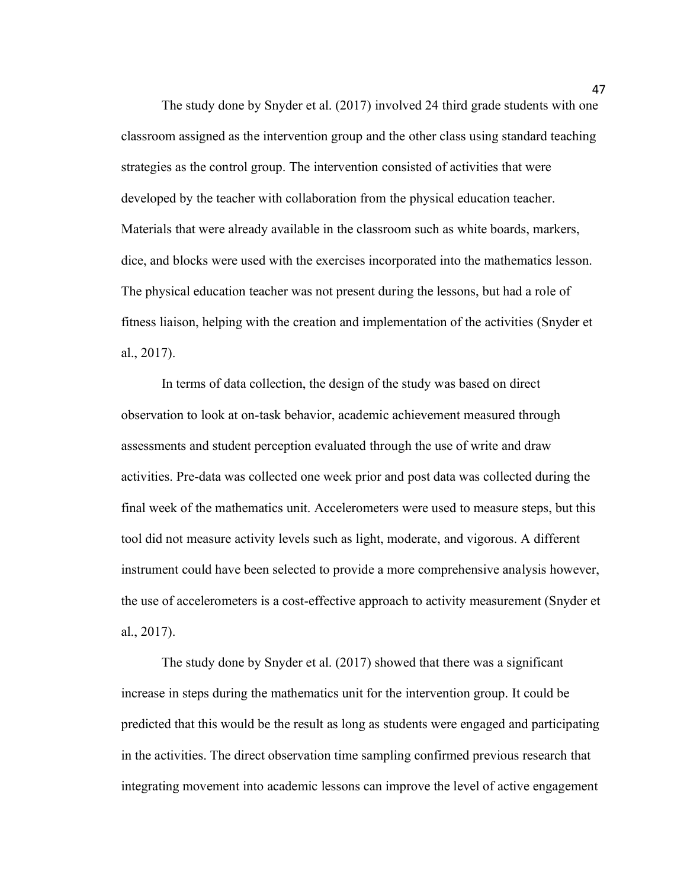The study done by Snyder et al. (2017) involved 24 third grade students with one classroom assigned as the intervention group and the other class using standard teaching strategies as the control group. The intervention consisted of activities that were developed by the teacher with collaboration from the physical education teacher. Materials that were already available in the classroom such as white boards, markers, dice, and blocks were used with the exercises incorporated into the mathematics lesson. The physical education teacher was not present during the lessons, but had a role of fitness liaison, helping with the creation and implementation of the activities (Snyder et al., 2017).

In terms of data collection, the design of the study was based on direct observation to look at on-task behavior, academic achievement measured through assessments and student perception evaluated through the use of write and draw activities. Pre-data was collected one week prior and post data was collected during the final week of the mathematics unit. Accelerometers were used to measure steps, but this tool did not measure activity levels such as light, moderate, and vigorous. A different instrument could have been selected to provide a more comprehensive analysis however, the use of accelerometers is a cost-effective approach to activity measurement (Snyder et al., 2017).

The study done by Snyder et al. (2017) showed that there was a significant increase in steps during the mathematics unit for the intervention group. It could be predicted that this would be the result as long as students were engaged and participating in the activities. The direct observation time sampling confirmed previous research that integrating movement into academic lessons can improve the level of active engagement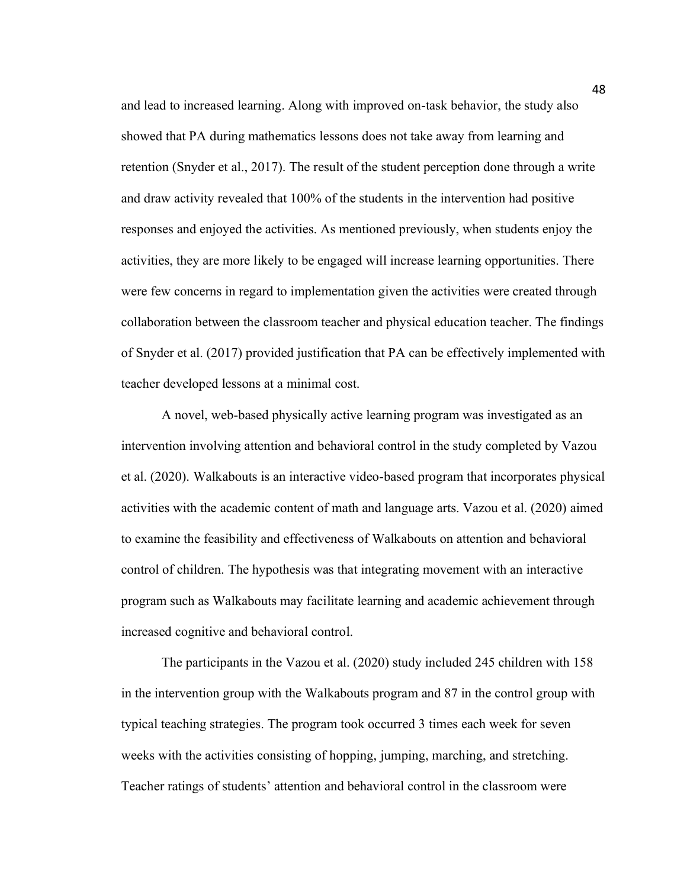and lead to increased learning. Along with improved on-task behavior, the study also showed that PA during mathematics lessons does not take away from learning and retention (Snyder et al., 2017). The result of the student perception done through a write and draw activity revealed that 100% of the students in the intervention had positive responses and enjoyed the activities. As mentioned previously, when students enjoy the activities, they are more likely to be engaged will increase learning opportunities. There were few concerns in regard to implementation given the activities were created through collaboration between the classroom teacher and physical education teacher. The findings of Snyder et al. (2017) provided justification that PA can be effectively implemented with teacher developed lessons at a minimal cost.

A novel, web-based physically active learning program was investigated as an intervention involving attention and behavioral control in the study completed by Vazou et al. (2020). Walkabouts is an interactive video-based program that incorporates physical activities with the academic content of math and language arts. Vazou et al. (2020) aimed to examine the feasibility and effectiveness of Walkabouts on attention and behavioral control of children. The hypothesis was that integrating movement with an interactive program such as Walkabouts may facilitate learning and academic achievement through increased cognitive and behavioral control.

The participants in the Vazou et al. (2020) study included 245 children with 158 in the intervention group with the Walkabouts program and 87 in the control group with typical teaching strategies. The program took occurred 3 times each week for seven weeks with the activities consisting of hopping, jumping, marching, and stretching. Teacher ratings of students' attention and behavioral control in the classroom were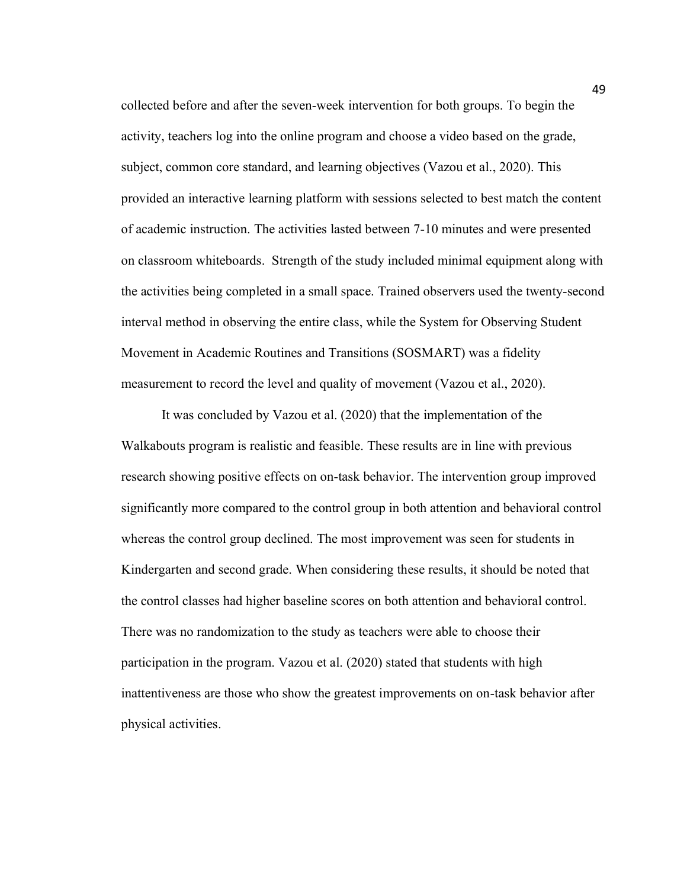collected before and after the seven-week intervention for both groups. To begin the activity, teachers log into the online program and choose a video based on the grade, subject, common core standard, and learning objectives (Vazou et al., 2020). This provided an interactive learning platform with sessions selected to best match the content of academic instruction. The activities lasted between 7-10 minutes and were presented on classroom whiteboards. Strength of the study included minimal equipment along with the activities being completed in a small space. Trained observers used the twenty-second interval method in observing the entire class, while the System for Observing Student Movement in Academic Routines and Transitions (SOSMART) was a fidelity measurement to record the level and quality of movement (Vazou et al., 2020).

It was concluded by Vazou et al. (2020) that the implementation of the Walkabouts program is realistic and feasible. These results are in line with previous research showing positive effects on on-task behavior. The intervention group improved significantly more compared to the control group in both attention and behavioral control whereas the control group declined. The most improvement was seen for students in Kindergarten and second grade. When considering these results, it should be noted that the control classes had higher baseline scores on both attention and behavioral control. There was no randomization to the study as teachers were able to choose their participation in the program. Vazou et al. (2020) stated that students with high inattentiveness are those who show the greatest improvements on on-task behavior after physical activities.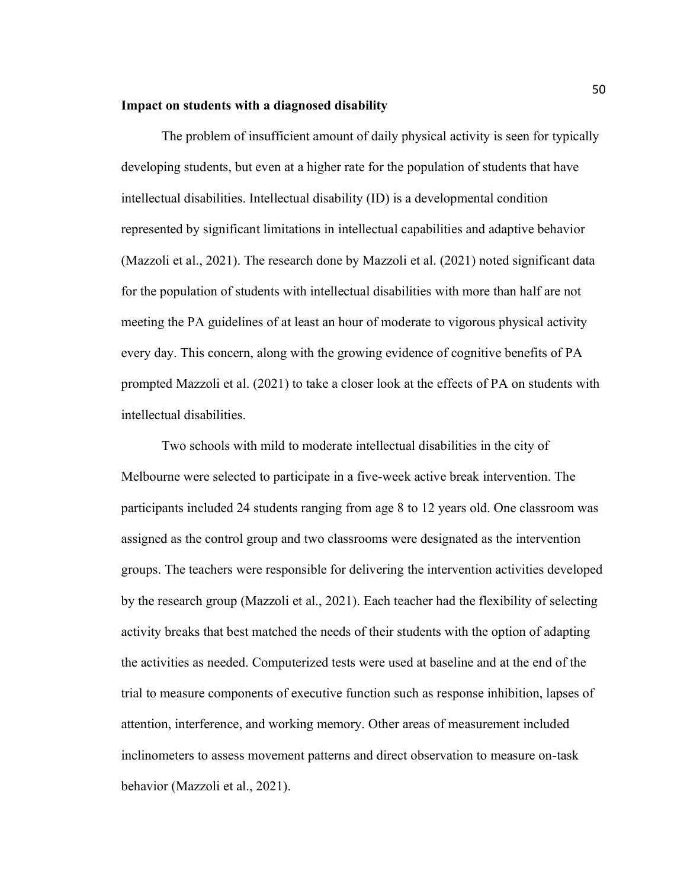#### **Impact on students with a diagnosed disability**

The problem of insufficient amount of daily physical activity is seen for typically developing students, but even at a higher rate for the population of students that have intellectual disabilities. Intellectual disability (ID) is a developmental condition represented by significant limitations in intellectual capabilities and adaptive behavior (Mazzoli et al., 2021). The research done by Mazzoli et al. (2021) noted significant data for the population of students with intellectual disabilities with more than half are not meeting the PA guidelines of at least an hour of moderate to vigorous physical activity every day. This concern, along with the growing evidence of cognitive benefits of PA prompted Mazzoli et al. (2021) to take a closer look at the effects of PA on students with intellectual disabilities.

Two schools with mild to moderate intellectual disabilities in the city of Melbourne were selected to participate in a five-week active break intervention. The participants included 24 students ranging from age 8 to 12 years old. One classroom was assigned as the control group and two classrooms were designated as the intervention groups. The teachers were responsible for delivering the intervention activities developed by the research group (Mazzoli et al., 2021). Each teacher had the flexibility of selecting activity breaks that best matched the needs of their students with the option of adapting the activities as needed. Computerized tests were used at baseline and at the end of the trial to measure components of executive function such as response inhibition, lapses of attention, interference, and working memory. Other areas of measurement included inclinometers to assess movement patterns and direct observation to measure on-task behavior (Mazzoli et al., 2021).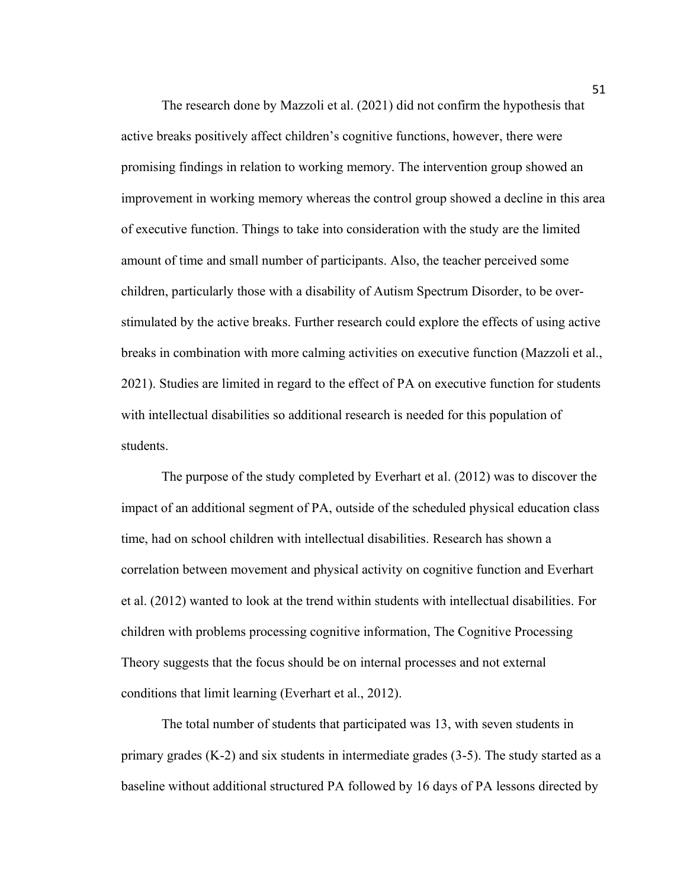The research done by Mazzoli et al. (2021) did not confirm the hypothesis that active breaks positively affect children's cognitive functions, however, there were promising findings in relation to working memory. The intervention group showed an improvement in working memory whereas the control group showed a decline in this area of executive function. Things to take into consideration with the study are the limited amount of time and small number of participants. Also, the teacher perceived some children, particularly those with a disability of Autism Spectrum Disorder, to be overstimulated by the active breaks. Further research could explore the effects of using active breaks in combination with more calming activities on executive function (Mazzoli et al., 2021). Studies are limited in regard to the effect of PA on executive function for students with intellectual disabilities so additional research is needed for this population of students.

The purpose of the study completed by Everhart et al. (2012) was to discover the impact of an additional segment of PA, outside of the scheduled physical education class time, had on school children with intellectual disabilities. Research has shown a correlation between movement and physical activity on cognitive function and Everhart et al. (2012) wanted to look at the trend within students with intellectual disabilities. For children with problems processing cognitive information, The Cognitive Processing Theory suggests that the focus should be on internal processes and not external conditions that limit learning (Everhart et al., 2012).

The total number of students that participated was 13, with seven students in primary grades (K-2) and six students in intermediate grades (3-5). The study started as a baseline without additional structured PA followed by 16 days of PA lessons directed by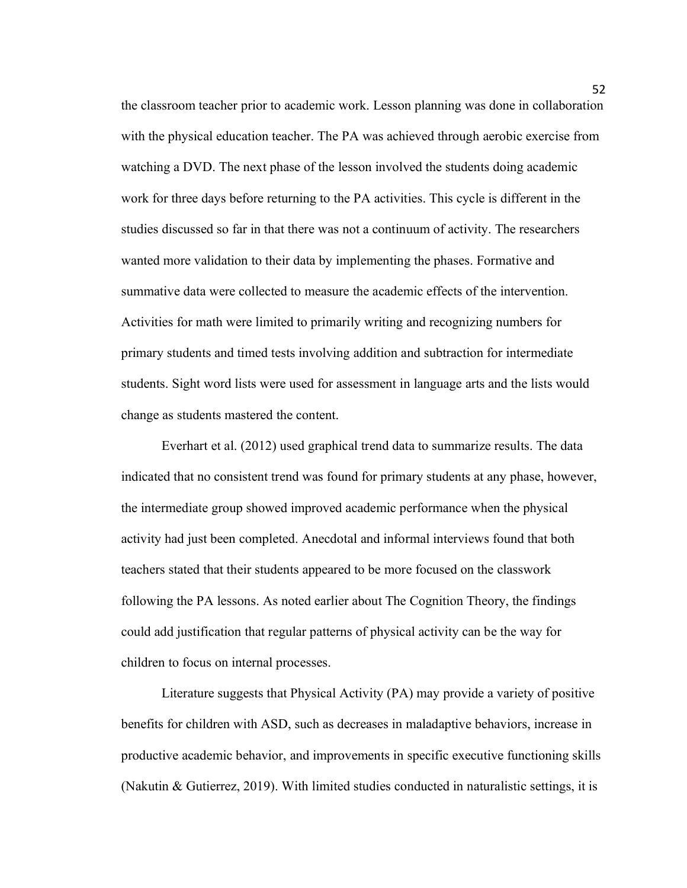the classroom teacher prior to academic work. Lesson planning was done in collaboration with the physical education teacher. The PA was achieved through aerobic exercise from watching a DVD. The next phase of the lesson involved the students doing academic work for three days before returning to the PA activities. This cycle is different in the studies discussed so far in that there was not a continuum of activity. The researchers wanted more validation to their data by implementing the phases. Formative and summative data were collected to measure the academic effects of the intervention. Activities for math were limited to primarily writing and recognizing numbers for primary students and timed tests involving addition and subtraction for intermediate students. Sight word lists were used for assessment in language arts and the lists would change as students mastered the content.

Everhart et al. (2012) used graphical trend data to summarize results. The data indicated that no consistent trend was found for primary students at any phase, however, the intermediate group showed improved academic performance when the physical activity had just been completed. Anecdotal and informal interviews found that both teachers stated that their students appeared to be more focused on the classwork following the PA lessons. As noted earlier about The Cognition Theory, the findings could add justification that regular patterns of physical activity can be the way for children to focus on internal processes.

Literature suggests that Physical Activity (PA) may provide a variety of positive benefits for children with ASD, such as decreases in maladaptive behaviors, increase in productive academic behavior, and improvements in specific executive functioning skills (Nakutin & Gutierrez, 2019). With limited studies conducted in naturalistic settings, it is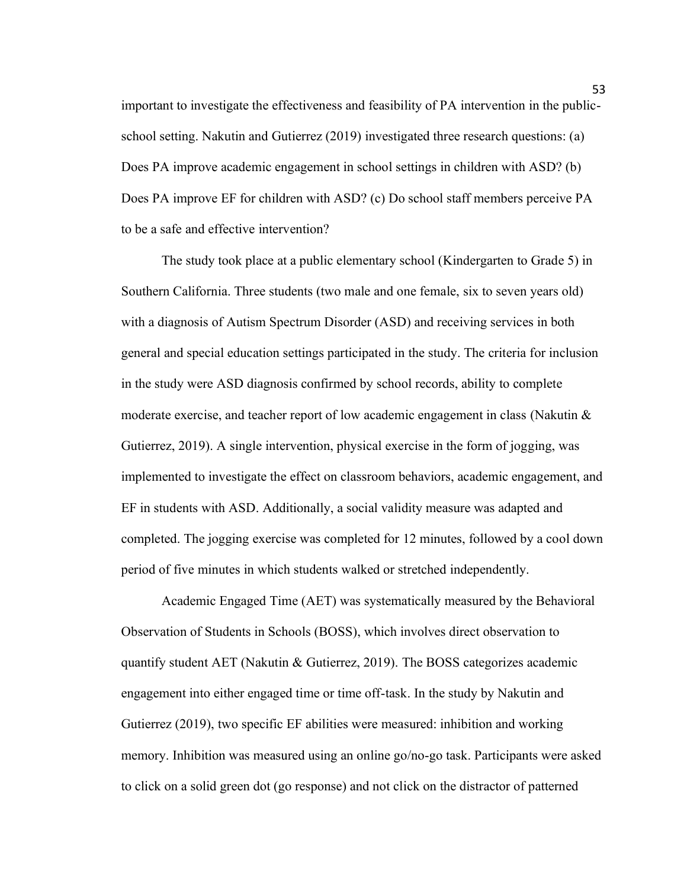important to investigate the effectiveness and feasibility of PA intervention in the publicschool setting. Nakutin and Gutierrez (2019) investigated three research questions: (a) Does PA improve academic engagement in school settings in children with ASD? (b) Does PA improve EF for children with ASD? (c) Do school staff members perceive PA to be a safe and effective intervention?

The study took place at a public elementary school (Kindergarten to Grade 5) in Southern California. Three students (two male and one female, six to seven years old) with a diagnosis of Autism Spectrum Disorder (ASD) and receiving services in both general and special education settings participated in the study. The criteria for inclusion in the study were ASD diagnosis confirmed by school records, ability to complete moderate exercise, and teacher report of low academic engagement in class (Nakutin  $\&$ Gutierrez, 2019). A single intervention, physical exercise in the form of jogging, was implemented to investigate the effect on classroom behaviors, academic engagement, and EF in students with ASD. Additionally, a social validity measure was adapted and completed. The jogging exercise was completed for 12 minutes, followed by a cool down period of five minutes in which students walked or stretched independently.

Academic Engaged Time (AET) was systematically measured by the Behavioral Observation of Students in Schools (BOSS), which involves direct observation to quantify student AET (Nakutin & Gutierrez, 2019). The BOSS categorizes academic engagement into either engaged time or time off-task. In the study by Nakutin and Gutierrez (2019), two specific EF abilities were measured: inhibition and working memory. Inhibition was measured using an online go/no-go task. Participants were asked to click on a solid green dot (go response) and not click on the distractor of patterned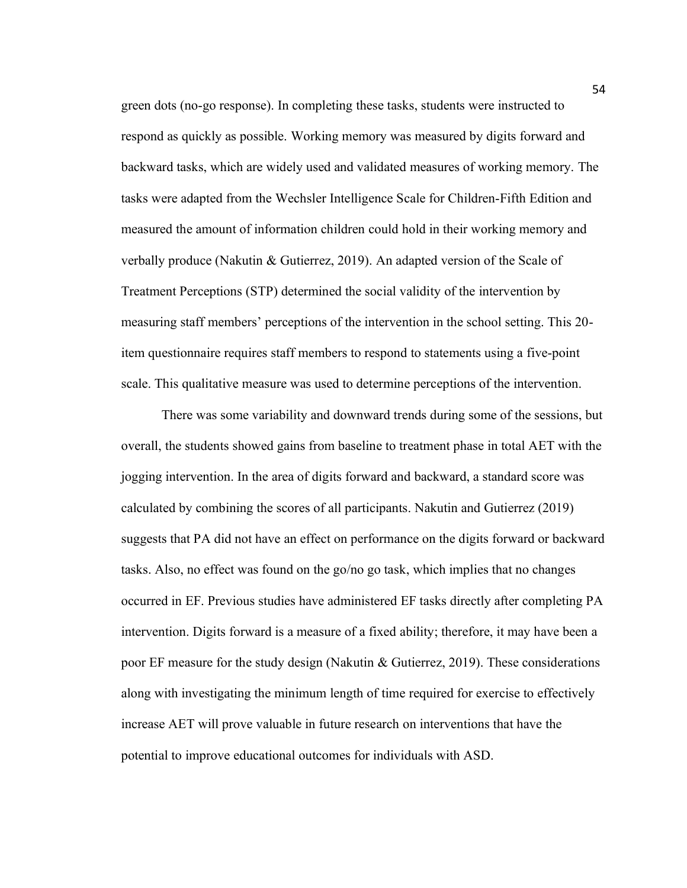green dots (no-go response). In completing these tasks, students were instructed to respond as quickly as possible. Working memory was measured by digits forward and backward tasks, which are widely used and validated measures of working memory. The tasks were adapted from the Wechsler Intelligence Scale for Children-Fifth Edition and measured the amount of information children could hold in their working memory and verbally produce (Nakutin & Gutierrez, 2019). An adapted version of the Scale of Treatment Perceptions (STP) determined the social validity of the intervention by measuring staff members' perceptions of the intervention in the school setting. This 20 item questionnaire requires staff members to respond to statements using a five-point scale. This qualitative measure was used to determine perceptions of the intervention.

There was some variability and downward trends during some of the sessions, but overall, the students showed gains from baseline to treatment phase in total AET with the jogging intervention. In the area of digits forward and backward, a standard score was calculated by combining the scores of all participants. Nakutin and Gutierrez (2019) suggests that PA did not have an effect on performance on the digits forward or backward tasks. Also, no effect was found on the go/no go task, which implies that no changes occurred in EF. Previous studies have administered EF tasks directly after completing PA intervention. Digits forward is a measure of a fixed ability; therefore, it may have been a poor EF measure for the study design (Nakutin & Gutierrez, 2019). These considerations along with investigating the minimum length of time required for exercise to effectively increase AET will prove valuable in future research on interventions that have the potential to improve educational outcomes for individuals with ASD.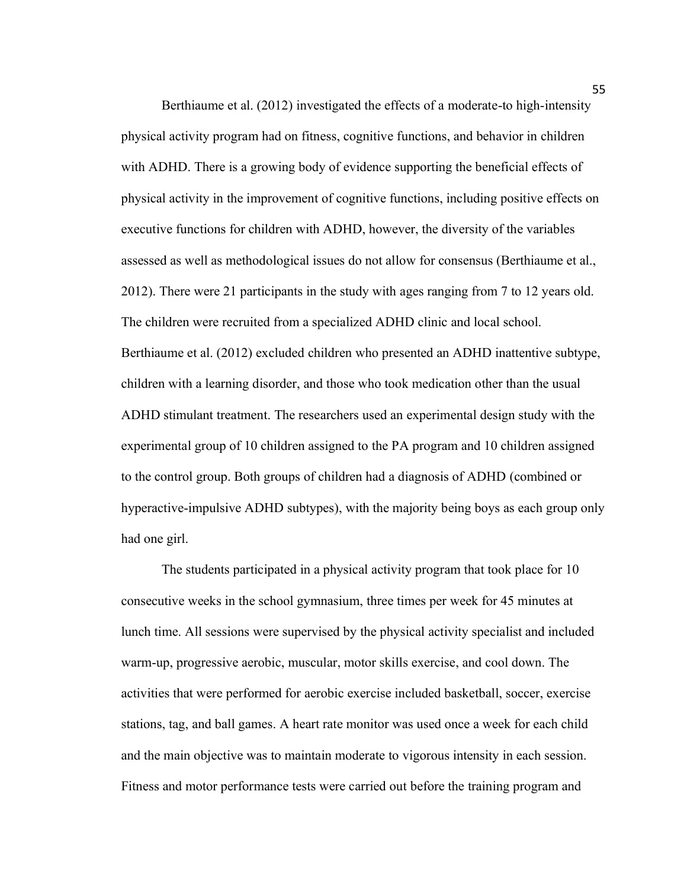Berthiaume et al. (2012) investigated the effects of a moderate-to high-intensity physical activity program had on fitness, cognitive functions, and behavior in children with ADHD. There is a growing body of evidence supporting the beneficial effects of physical activity in the improvement of cognitive functions, including positive effects on executive functions for children with ADHD, however, the diversity of the variables assessed as well as methodological issues do not allow for consensus (Berthiaume et al., 2012). There were 21 participants in the study with ages ranging from 7 to 12 years old. The children were recruited from a specialized ADHD clinic and local school. Berthiaume et al. (2012) excluded children who presented an ADHD inattentive subtype, children with a learning disorder, and those who took medication other than the usual ADHD stimulant treatment. The researchers used an experimental design study with the experimental group of 10 children assigned to the PA program and 10 children assigned to the control group. Both groups of children had a diagnosis of ADHD (combined or hyperactive-impulsive ADHD subtypes), with the majority being boys as each group only had one girl.

The students participated in a physical activity program that took place for 10 consecutive weeks in the school gymnasium, three times per week for 45 minutes at lunch time. All sessions were supervised by the physical activity specialist and included warm-up, progressive aerobic, muscular, motor skills exercise, and cool down. The activities that were performed for aerobic exercise included basketball, soccer, exercise stations, tag, and ball games. A heart rate monitor was used once a week for each child and the main objective was to maintain moderate to vigorous intensity in each session. Fitness and motor performance tests were carried out before the training program and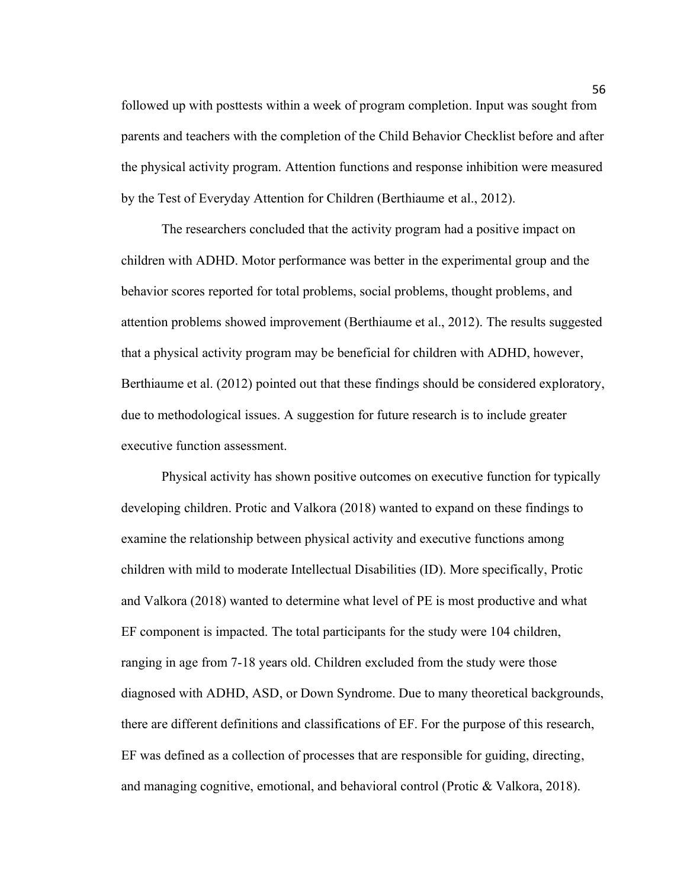followed up with posttests within a week of program completion. Input was sought from parents and teachers with the completion of the Child Behavior Checklist before and after the physical activity program. Attention functions and response inhibition were measured by the Test of Everyday Attention for Children (Berthiaume et al., 2012).

The researchers concluded that the activity program had a positive impact on children with ADHD. Motor performance was better in the experimental group and the behavior scores reported for total problems, social problems, thought problems, and attention problems showed improvement (Berthiaume et al., 2012). The results suggested that a physical activity program may be beneficial for children with ADHD, however, Berthiaume et al. (2012) pointed out that these findings should be considered exploratory, due to methodological issues. A suggestion for future research is to include greater executive function assessment.

Physical activity has shown positive outcomes on executive function for typically developing children. Protic and Valkora (2018) wanted to expand on these findings to examine the relationship between physical activity and executive functions among children with mild to moderate Intellectual Disabilities (ID). More specifically, Protic and Valkora (2018) wanted to determine what level of PE is most productive and what EF component is impacted. The total participants for the study were 104 children, ranging in age from 7-18 years old. Children excluded from the study were those diagnosed with ADHD, ASD, or Down Syndrome. Due to many theoretical backgrounds, there are different definitions and classifications of EF. For the purpose of this research, EF was defined as a collection of processes that are responsible for guiding, directing, and managing cognitive, emotional, and behavioral control (Protic & Valkora, 2018).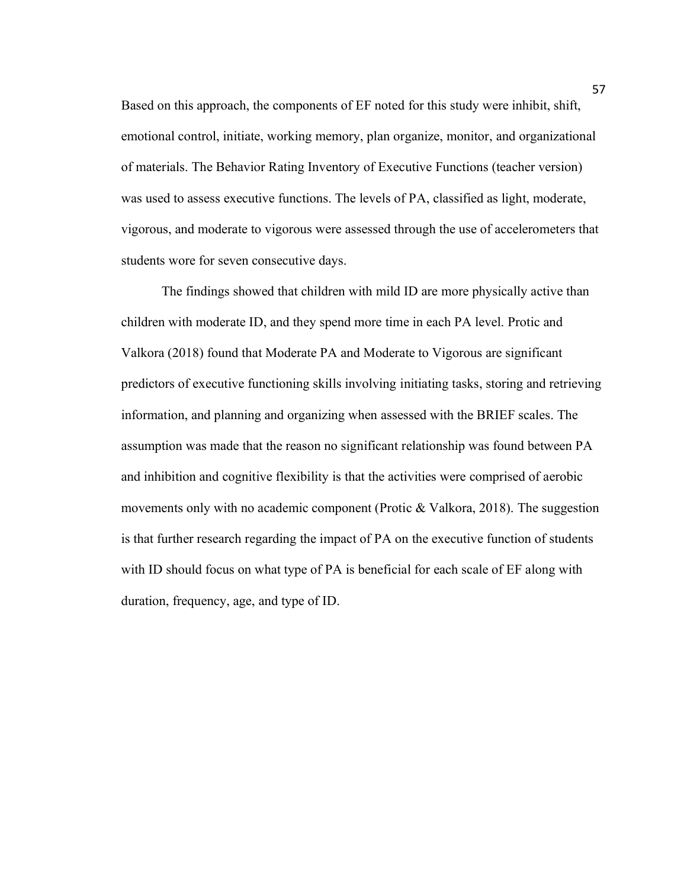Based on this approach, the components of EF noted for this study were inhibit, shift, emotional control, initiate, working memory, plan organize, monitor, and organizational of materials. The Behavior Rating Inventory of Executive Functions (teacher version) was used to assess executive functions. The levels of PA, classified as light, moderate, vigorous, and moderate to vigorous were assessed through the use of accelerometers that students wore for seven consecutive days.

The findings showed that children with mild ID are more physically active than children with moderate ID, and they spend more time in each PA level. Protic and Valkora (2018) found that Moderate PA and Moderate to Vigorous are significant predictors of executive functioning skills involving initiating tasks, storing and retrieving information, and planning and organizing when assessed with the BRIEF scales. The assumption was made that the reason no significant relationship was found between PA and inhibition and cognitive flexibility is that the activities were comprised of aerobic movements only with no academic component (Protic & Valkora, 2018). The suggestion is that further research regarding the impact of PA on the executive function of students with ID should focus on what type of PA is beneficial for each scale of EF along with duration, frequency, age, and type of ID.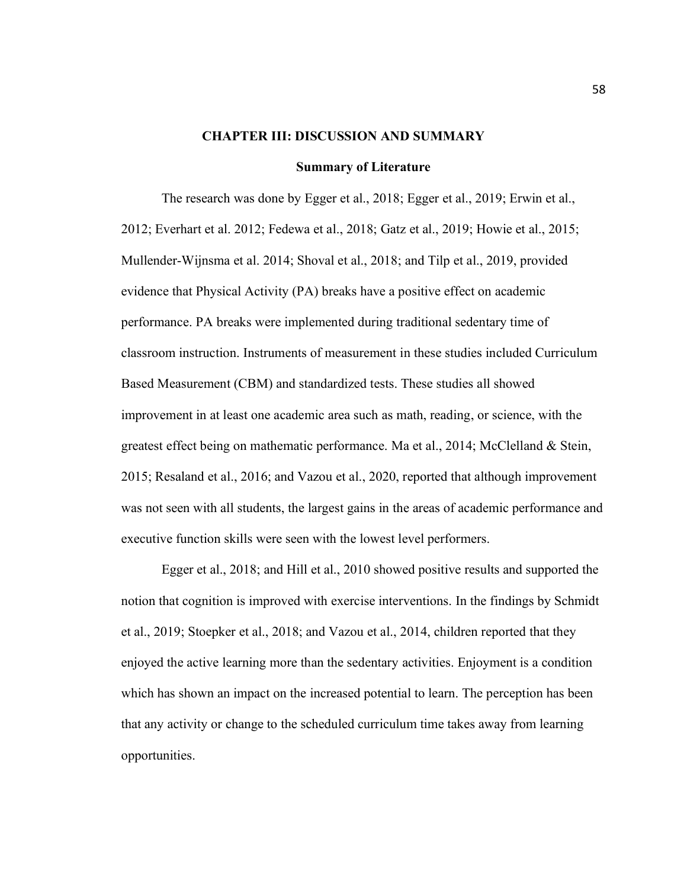#### **CHAPTER III: DISCUSSION AND SUMMARY**

#### **Summary of Literature**

The research was done by Egger et al., 2018; Egger et al., 2019; Erwin et al., 2012; Everhart et al. 2012; Fedewa et al., 2018; Gatz et al., 2019; Howie et al., 2015; Mullender-Wijnsma et al. 2014; Shoval et al., 2018; and Tilp et al., 2019, provided evidence that Physical Activity (PA) breaks have a positive effect on academic performance. PA breaks were implemented during traditional sedentary time of classroom instruction. Instruments of measurement in these studies included Curriculum Based Measurement (CBM) and standardized tests. These studies all showed improvement in at least one academic area such as math, reading, or science, with the greatest effect being on mathematic performance. Ma et al., 2014; McClelland & Stein, 2015; Resaland et al., 2016; and Vazou et al., 2020, reported that although improvement was not seen with all students, the largest gains in the areas of academic performance and executive function skills were seen with the lowest level performers.

Egger et al., 2018; and Hill et al., 2010 showed positive results and supported the notion that cognition is improved with exercise interventions. In the findings by Schmidt et al., 2019; Stoepker et al., 2018; and Vazou et al., 2014, children reported that they enjoyed the active learning more than the sedentary activities. Enjoyment is a condition which has shown an impact on the increased potential to learn. The perception has been that any activity or change to the scheduled curriculum time takes away from learning opportunities.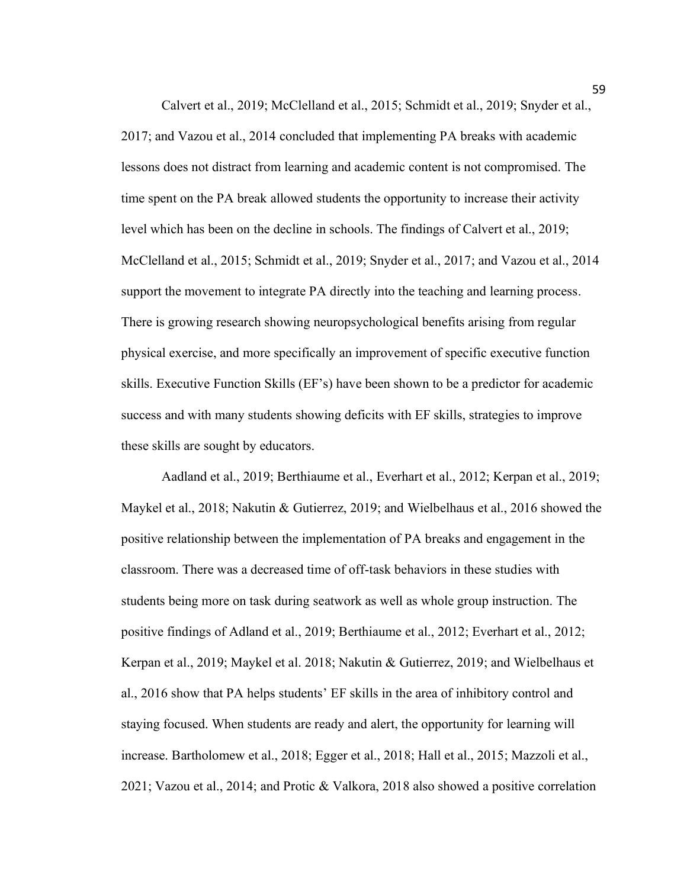Calvert et al., 2019; McClelland et al., 2015; Schmidt et al., 2019; Snyder et al., 2017; and Vazou et al., 2014 concluded that implementing PA breaks with academic lessons does not distract from learning and academic content is not compromised. The time spent on the PA break allowed students the opportunity to increase their activity level which has been on the decline in schools. The findings of Calvert et al., 2019; McClelland et al., 2015; Schmidt et al., 2019; Snyder et al., 2017; and Vazou et al., 2014 support the movement to integrate PA directly into the teaching and learning process. There is growing research showing neuropsychological benefits arising from regular physical exercise, and more specifically an improvement of specific executive function skills. Executive Function Skills (EF's) have been shown to be a predictor for academic success and with many students showing deficits with EF skills, strategies to improve these skills are sought by educators.

Aadland et al., 2019; Berthiaume et al., Everhart et al., 2012; Kerpan et al., 2019; Maykel et al., 2018; Nakutin & Gutierrez, 2019; and Wielbelhaus et al., 2016 showed the positive relationship between the implementation of PA breaks and engagement in the classroom. There was a decreased time of off-task behaviors in these studies with students being more on task during seatwork as well as whole group instruction. The positive findings of Adland et al., 2019; Berthiaume et al., 2012; Everhart et al., 2012; Kerpan et al., 2019; Maykel et al. 2018; Nakutin & Gutierrez, 2019; and Wielbelhaus et al., 2016 show that PA helps students' EF skills in the area of inhibitory control and staying focused. When students are ready and alert, the opportunity for learning will increase. Bartholomew et al., 2018; Egger et al., 2018; Hall et al., 2015; Mazzoli et al., 2021; Vazou et al., 2014; and Protic & Valkora, 2018 also showed a positive correlation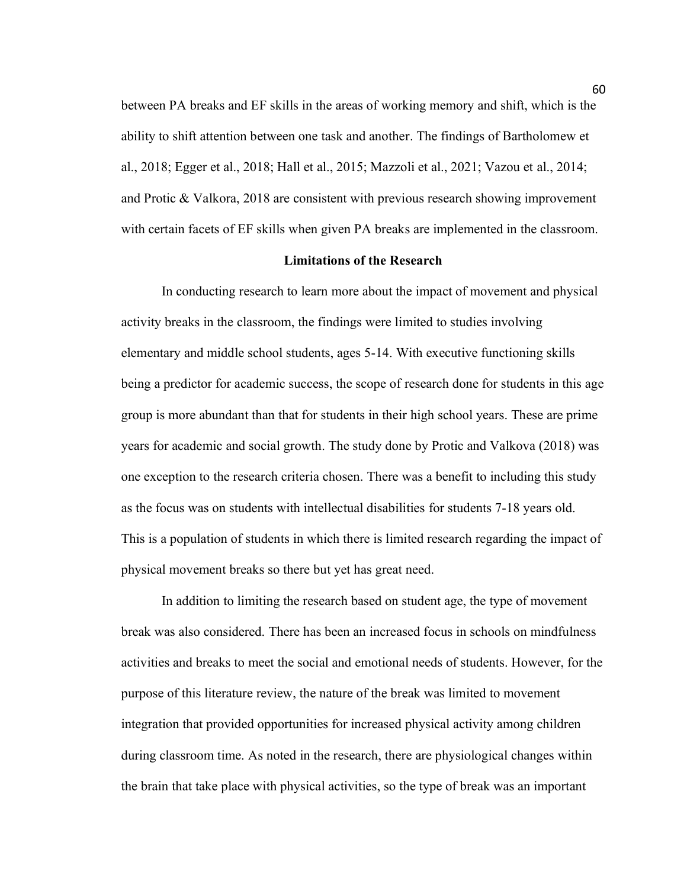between PA breaks and EF skills in the areas of working memory and shift, which is the ability to shift attention between one task and another. The findings of Bartholomew et al., 2018; Egger et al., 2018; Hall et al., 2015; Mazzoli et al., 2021; Vazou et al., 2014; and Protic & Valkora, 2018 are consistent with previous research showing improvement with certain facets of EF skills when given PA breaks are implemented in the classroom.

#### **Limitations of the Research**

In conducting research to learn more about the impact of movement and physical activity breaks in the classroom, the findings were limited to studies involving elementary and middle school students, ages 5-14. With executive functioning skills being a predictor for academic success, the scope of research done for students in this age group is more abundant than that for students in their high school years. These are prime years for academic and social growth. The study done by Protic and Valkova (2018) was one exception to the research criteria chosen. There was a benefit to including this study as the focus was on students with intellectual disabilities for students 7-18 years old. This is a population of students in which there is limited research regarding the impact of physical movement breaks so there but yet has great need.

In addition to limiting the research based on student age, the type of movement break was also considered. There has been an increased focus in schools on mindfulness activities and breaks to meet the social and emotional needs of students. However, for the purpose of this literature review, the nature of the break was limited to movement integration that provided opportunities for increased physical activity among children during classroom time. As noted in the research, there are physiological changes within the brain that take place with physical activities, so the type of break was an important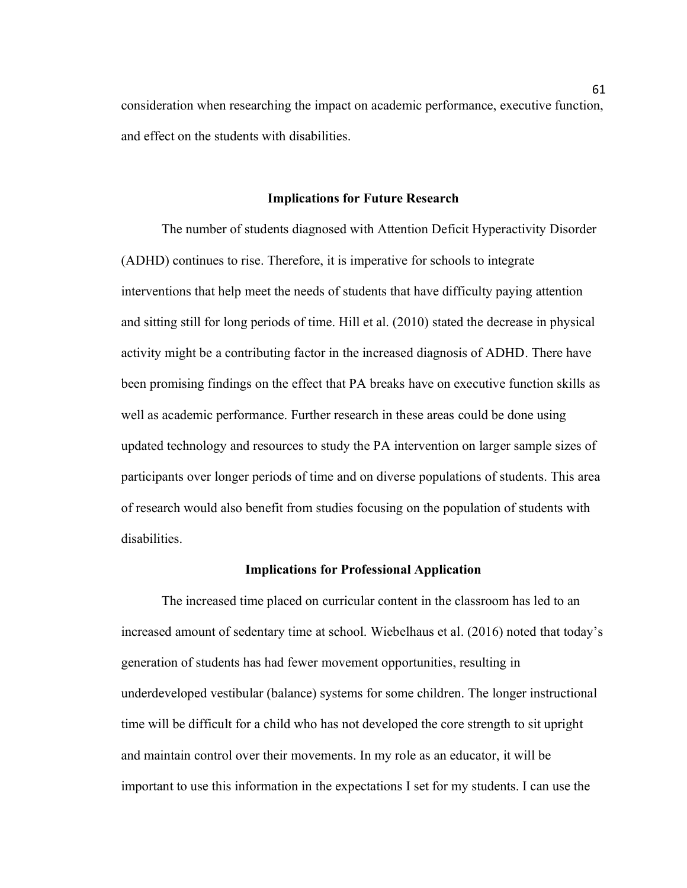consideration when researching the impact on academic performance, executive function, and effect on the students with disabilities.

#### **Implications for Future Research**

The number of students diagnosed with Attention Deficit Hyperactivity Disorder (ADHD) continues to rise. Therefore, it is imperative for schools to integrate interventions that help meet the needs of students that have difficulty paying attention and sitting still for long periods of time. Hill et al. (2010) stated the decrease in physical activity might be a contributing factor in the increased diagnosis of ADHD. There have been promising findings on the effect that PA breaks have on executive function skills as well as academic performance. Further research in these areas could be done using updated technology and resources to study the PA intervention on larger sample sizes of participants over longer periods of time and on diverse populations of students. This area of research would also benefit from studies focusing on the population of students with disabilities.

#### **Implications for Professional Application**

The increased time placed on curricular content in the classroom has led to an increased amount of sedentary time at school. Wiebelhaus et al. (2016) noted that today's generation of students has had fewer movement opportunities, resulting in underdeveloped vestibular (balance) systems for some children. The longer instructional time will be difficult for a child who has not developed the core strength to sit upright and maintain control over their movements. In my role as an educator, it will be important to use this information in the expectations I set for my students. I can use the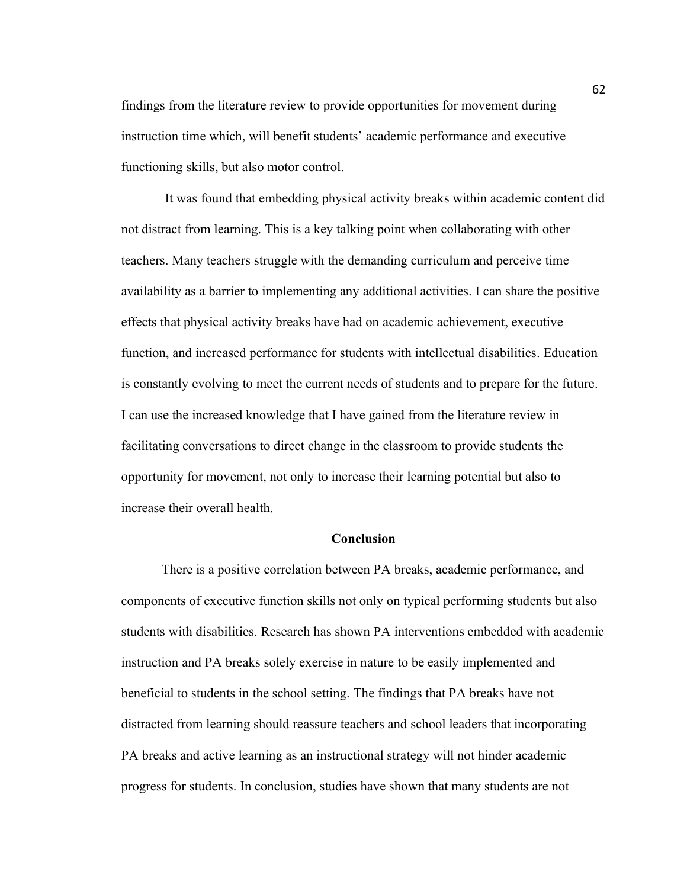findings from the literature review to provide opportunities for movement during instruction time which, will benefit students' academic performance and executive functioning skills, but also motor control.

It was found that embedding physical activity breaks within academic content did not distract from learning. This is a key talking point when collaborating with other teachers. Many teachers struggle with the demanding curriculum and perceive time availability as a barrier to implementing any additional activities. I can share the positive effects that physical activity breaks have had on academic achievement, executive function, and increased performance for students with intellectual disabilities. Education is constantly evolving to meet the current needs of students and to prepare for the future. I can use the increased knowledge that I have gained from the literature review in facilitating conversations to direct change in the classroom to provide students the opportunity for movement, not only to increase their learning potential but also to increase their overall health.

#### **Conclusion**

There is a positive correlation between PA breaks, academic performance, and components of executive function skills not only on typical performing students but also students with disabilities. Research has shown PA interventions embedded with academic instruction and PA breaks solely exercise in nature to be easily implemented and beneficial to students in the school setting. The findings that PA breaks have not distracted from learning should reassure teachers and school leaders that incorporating PA breaks and active learning as an instructional strategy will not hinder academic progress for students. In conclusion, studies have shown that many students are not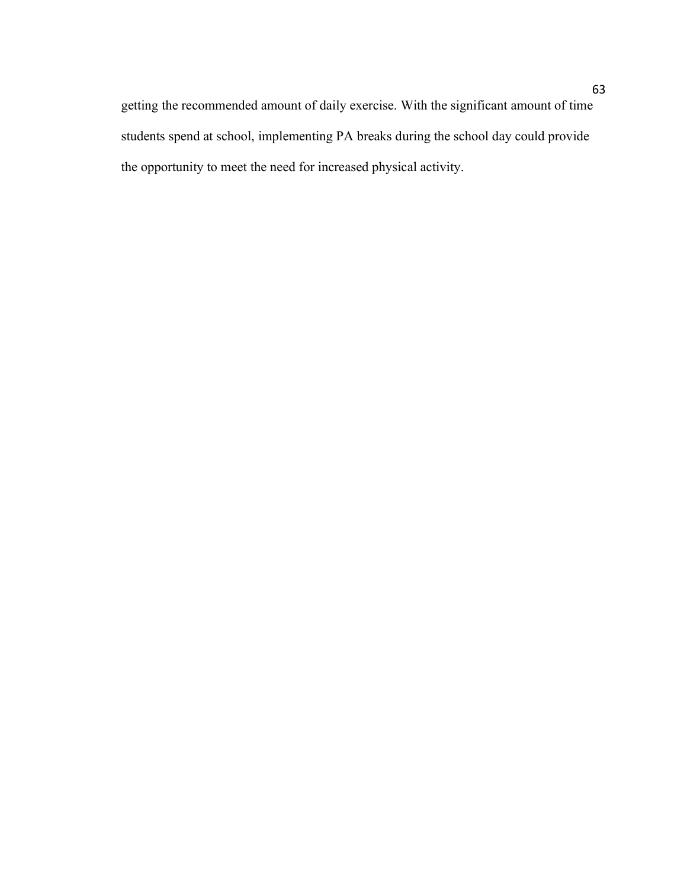getting the recommended amount of daily exercise. With the significant amount of time students spend at school, implementing PA breaks during the school day could provide the opportunity to meet the need for increased physical activity.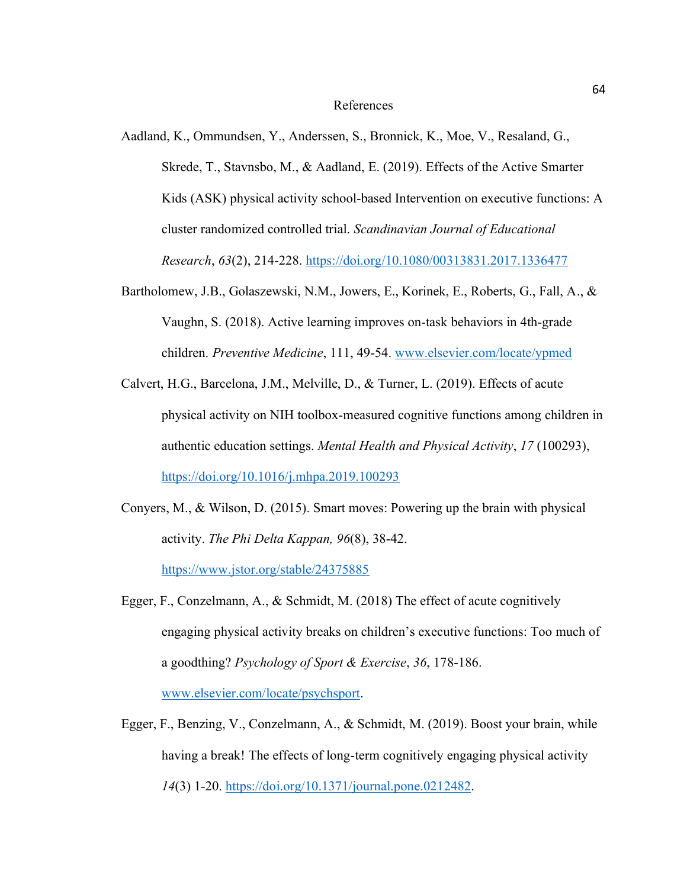#### References

- Aadland, K., Ommundsen, Y., Anderssen, S., Bronnick, K., Moe, V., Resaland, G., Skrede, T., Stavnsbo, M., & Aadland, E. (2019). Effects of the Active Smarter Kids (ASK) physical activity school-based Intervention on executive functions: A cluster randomized controlled trial. *Scandinavian Journal of Educational Research*, *63*(2), 214-228.<https://doi.org/10.1080/00313831.2017.1336477>
- Bartholomew, J.B., Golaszewski, N.M., Jowers, E., Korinek, E., Roberts, G., Fall, A., & Vaughn, S. (2018). Active learning improves on-task behaviors in 4th-grade children. *Preventive Medicine*, 111, 49-54. [www.elsevier.com/locate/ypmed](http://www.elsevier.com/locate/ypmed)
- Calvert, H.G., Barcelona, J.M., Melville, D., & Turner, L. (2019). Effects of acute physical activity on NIH toolbox-measured cognitive functions among children in authentic education settings. *Mental Health and Physical Activity*, *17* (100293), <https://doi.org/10.1016/j.mhpa.2019.100293>
- Conyers, M., & Wilson, D. (2015). Smart moves: Powering up the brain with physical activity. *The Phi Delta Kappan, 96*(8), 38-42.

<https://www.jstor.org/stable/24375885>

- Egger, F., Conzelmann, A., & Schmidt, M. (2018) The effect of acute cognitively engaging physical activity breaks on children's executive functions: Too much of a goodthing? *Psychology of Sport & Exercise*, *36*, 178-186. [www.elsevier.com/locate/psychsport.](http://www.elsevier.com/locate/psychsport)
- Egger, F., Benzing, V., Conzelmann, A., & Schmidt, M. (2019). Boost your brain, while having a break! The effects of long-term cognitively engaging physical activity *14*(3) 1-20. [https://doi.org/10.1371/journal.pone.0212482.](https://doi.org/10.1371/journal.pone.0212482)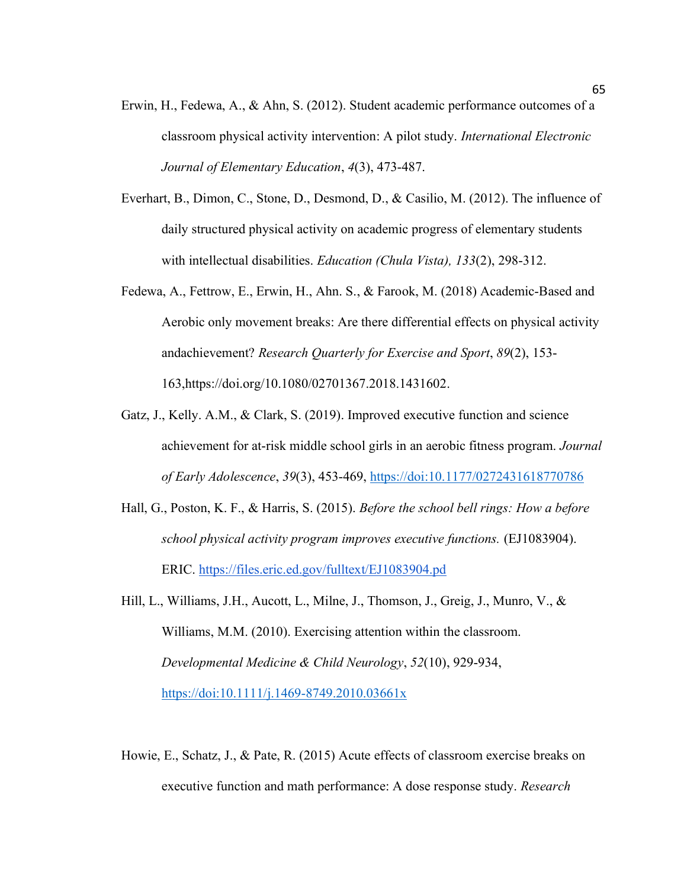- Erwin, H., Fedewa, A., & Ahn, S. (2012). Student academic performance outcomes of a classroom physical activity intervention: A pilot study. *International Electronic Journal of Elementary Education*, *4*(3), 473-487.
- Everhart, B., Dimon, C., Stone, D., Desmond, D., & Casilio, M. (2012). The influence of daily structured physical activity on academic progress of elementary students with intellectual disabilities. *Education (Chula Vista), 133*(2), 298-312.
- Fedewa, A., Fettrow, E., Erwin, H., Ahn. S., & Farook, M. (2018) Academic-Based and Aerobic only movement breaks: Are there differential effects on physical activity andachievement? *Research Quarterly for Exercise and Sport*, *89*(2), 153- 163,https://doi.org/10.1080/02701367.2018.1431602.
- Gatz, J., Kelly. A.M., & Clark, S. (2019). Improved executive function and science achievement for at-risk middle school girls in an aerobic fitness program. *Journal of Early Adolescence*, *39*(3), 453-469,<https://doi:10.1177/0272431618770786>
- Hall, G., Poston, K. F., & Harris, S. (2015). *Before the school bell rings: How a before school physical activity program improves executive functions.* (EJ1083904). ERIC. [https://files.eric.ed.gov/fulltext/EJ1083904.pd](https://files.eric.ed.gov/fulltext/EJ1083904.pdf)
- Hill, L., Williams, J.H., Aucott, L., Milne, J., Thomson, J., Greig, J., Munro, V., & Williams, M.M. (2010). Exercising attention within the classroom. *Developmental Medicine & Child Neurology*, *52*(10), 929-934, <https://doi:10.1111/j.1469-8749.2010.03661x>
- Howie, E., Schatz, J., & Pate, R. (2015) Acute effects of classroom exercise breaks on executive function and math performance: A dose response study. *Research*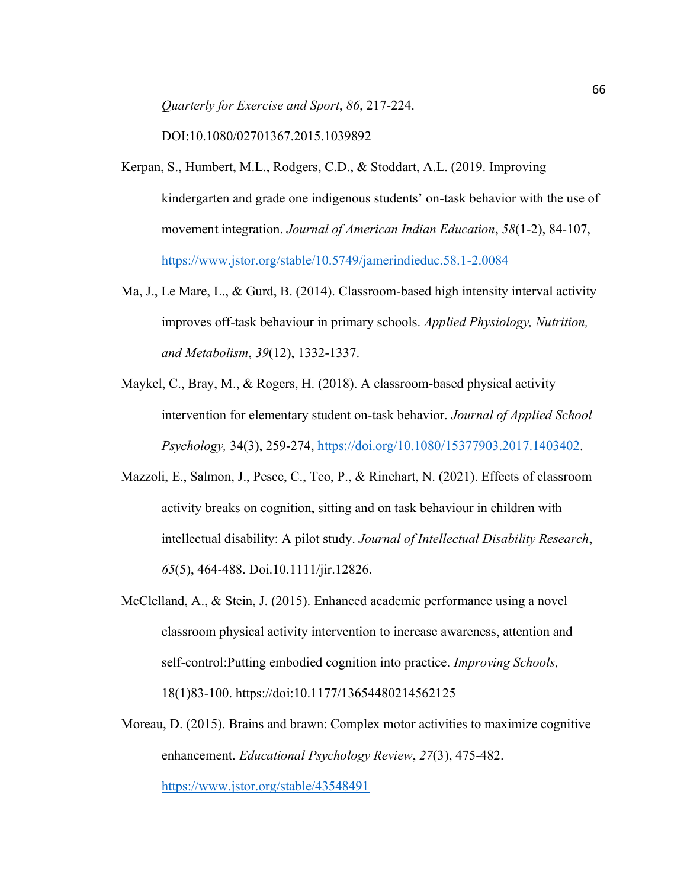*Quarterly for Exercise and Sport*, *86*, 217-224.

DOI:10.1080/02701367.2015.1039892

- Kerpan, S., Humbert, M.L., Rodgers, C.D., & Stoddart, A.L. (2019. Improving kindergarten and grade one indigenous students' on-task behavior with the use of movement integration. *Journal of American Indian Education*, *58*(1-2), 84-107, <https://www.jstor.org/stable/10.5749/jamerindieduc.58.1-2.0084>
- Ma, J., Le Mare, L., & Gurd, B. (2014). Classroom-based high intensity interval activity improves off-task behaviour in primary schools. *Applied Physiology, Nutrition, and Metabolism*, *39*(12), 1332-1337.
- Maykel, C., Bray, M., & Rogers, H. (2018). A classroom-based physical activity intervention for elementary student on-task behavior. *Journal of Applied School Psychology,* 34(3), 259-274, [https://doi.org/10.1080/15377903.2017.1403402.](https://doi.org/10.1080/15377903.2017.1403402)
- Mazzoli, E., Salmon, J., Pesce, C., Teo, P., & Rinehart, N. (2021). Effects of classroom activity breaks on cognition, sitting and on task behaviour in children with intellectual disability: A pilot study. *Journal of Intellectual Disability Research*, *65*(5), 464-488. Doi.10.1111/jir.12826.
- McClelland, A., & Stein, J. (2015). Enhanced academic performance using a novel classroom physical activity intervention to increase awareness, attention and self-control:Putting embodied cognition into practice. *Improving Schools,*  18(1)83-100. https://doi:10.1177/13654480214562125
- Moreau, D. (2015). Brains and brawn: Complex motor activities to maximize cognitive enhancement. *Educational Psychology Review*, *27*(3), 475-482. <https://www.jstor.org/stable/43548491>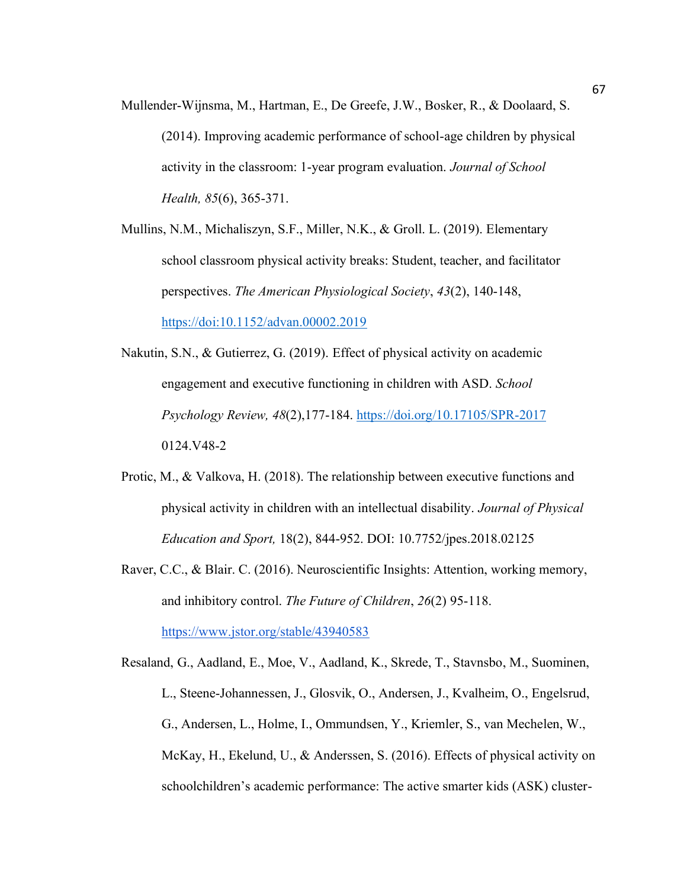Mullender-Wijnsma, M., Hartman, E., De Greefe, J.W., Bosker, R., & Doolaard, S. (2014). Improving academic performance of school-age children by physical activity in the classroom: 1-year program evaluation. *Journal of School Health, 85*(6), 365-371.

Mullins, N.M., Michaliszyn, S.F., Miller, N.K., & Groll. L. (2019). Elementary school classroom physical activity breaks: Student, teacher, and facilitator perspectives. *The American Physiological Society*, *43*(2), 140-148, <https://doi:10.1152/advan.00002.2019>

- Nakutin, S.N., & Gutierrez, G. (2019). Effect of physical activity on academic engagement and executive functioning in children with ASD. *School Psychology Review, 48*(2),177-184.<https://doi.org/10.17105/SPR-2017> 0124.V48-2
- Protic, M., & Valkova, H. (2018). The relationship between executive functions and physical activity in children with an intellectual disability. *Journal of Physical Education and Sport,* 18(2), 844-952. DOI: 10.7752/jpes.2018.02125
- Raver, C.C., & Blair. C. (2016). Neuroscientific Insights: Attention, working memory, and inhibitory control. *The Future of Children*, *26*(2) 95-118. <https://www.jstor.org/stable/43940583>

Resaland, G., Aadland, E., Moe, V., Aadland, K., Skrede, T., Stavnsbo, M., Suominen, L., Steene-Johannessen, J., Glosvik, O., Andersen, J., Kvalheim, O., Engelsrud, G., Andersen, L., Holme, I., Ommundsen, Y., Kriemler, S., van Mechelen, W., McKay, H., Ekelund, U., & Anderssen, S. (2016). Effects of physical activity on schoolchildren's academic performance: The active smarter kids (ASK) cluster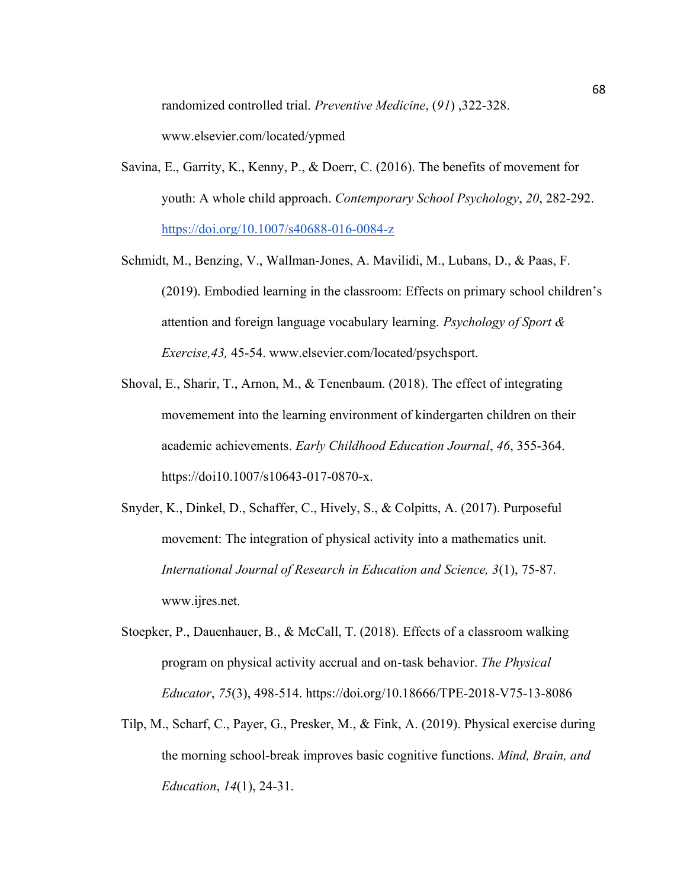randomized controlled trial. *Preventive Medicine*, (*91*) ,322-328.

www.elsevier.com/located/ypmed

- Savina, E., Garrity, K., Kenny, P., & Doerr, C. (2016). The benefits of movement for youth: A whole child approach. *Contemporary School Psychology*, *20*, 282-292. <https://doi.org/10.1007/s40688-016-0084-z>
- Schmidt, M., Benzing, V., Wallman-Jones, A. Mavilidi, M., Lubans, D., & Paas, F. (2019). Embodied learning in the classroom: Effects on primary school children's attention and foreign language vocabulary learning. *Psychology of Sport & Exercise,43,* 45-54. www.elsevier.com/located/psychsport.
- Shoval, E., Sharir, T., Arnon, M., & Tenenbaum. (2018). The effect of integrating movemement into the learning environment of kindergarten children on their academic achievements. *Early Childhood Education Journal*, *46*, 355-364. https://doi10.1007/s10643-017-0870-x.
- Snyder, K., Dinkel, D., Schaffer, C., Hively, S., & Colpitts, A. (2017). Purposeful movement: The integration of physical activity into a mathematics unit. *International Journal of Research in Education and Science, 3*(1), 75-87. www.ijres.net.
- Stoepker, P., Dauenhauer, B., & McCall, T. (2018). Effects of a classroom walking program on physical activity accrual and on-task behavior. *The Physical Educator*, *75*(3), 498-514. https://doi.org/10.18666/TPE-2018-V75-13-8086
- Tilp, M., Scharf, C., Payer, G., Presker, M., & Fink, A. (2019). Physical exercise during the morning school-break improves basic cognitive functions. *Mind, Brain, and Education*, *14*(1), 24-31.